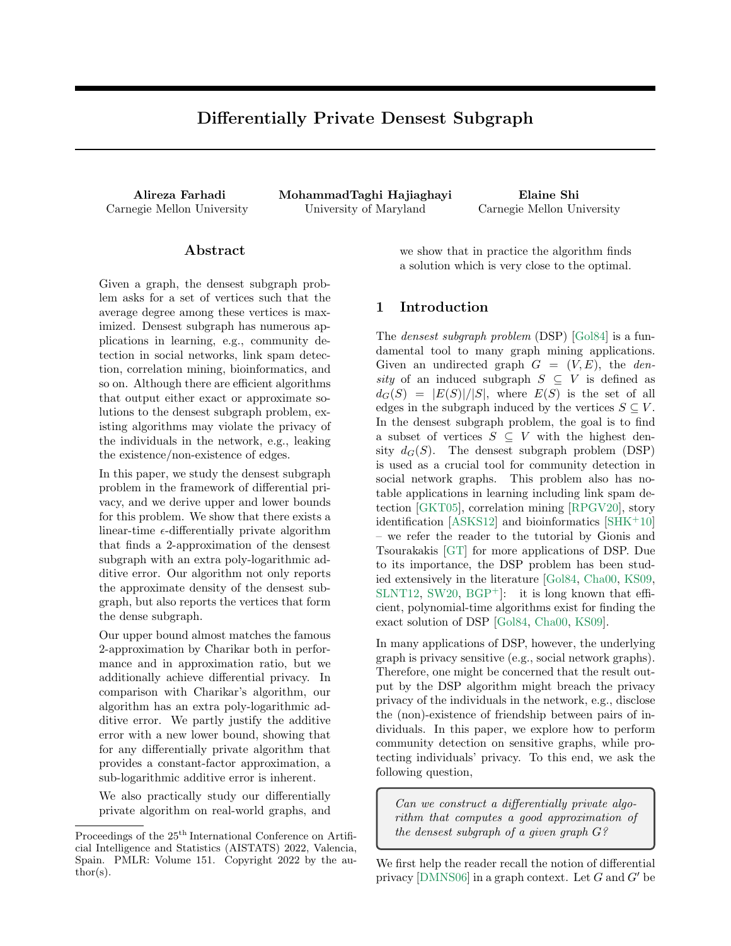# Differentially Private Densest Subgraph

Alireza Farhadi MohammadTaghi Hajiaghayi Elaine Shi Carnegie Mellon University University of Maryland Carnegie Mellon University

### Abstract

Given a graph, the densest subgraph problem asks for a set of vertices such that the average degree among these vertices is maximized. Densest subgraph has numerous applications in learning, e.g., community detection in social networks, link spam detection, correlation mining, bioinformatics, and so on. Although there are efficient algorithms that output either exact or approximate solutions to the densest subgraph problem, existing algorithms may violate the privacy of the individuals in the network, e.g., leaking the existence/non-existence of edges.

In this paper, we study the densest subgraph problem in the framework of differential privacy, and we derive upper and lower bounds for this problem. We show that there exists a linear-time  $\epsilon$ -differentially private algorithm that finds a 2-approximation of the densest subgraph with an extra poly-logarithmic additive error. Our algorithm not only reports the approximate density of the densest subgraph, but also reports the vertices that form the dense subgraph.

Our upper bound almost matches the famous 2-approximation by Charikar both in performance and in approximation ratio, but we additionally achieve differential privacy. In comparison with Charikar's algorithm, our algorithm has an extra poly-logarithmic additive error. We partly justify the additive error with a new lower bound, showing that for any differentially private algorithm that provides a constant-factor approximation, a sub-logarithmic additive error is inherent.

We also practically study our differentially private algorithm on real-world graphs, and we show that in practice the algorithm finds a solution which is very close to the optimal.

### <span id="page-0-0"></span>1 Introduction

The *densest subgraph problem* (DSP) [\[Gol84\]](#page-8-0) is a fundamental tool to many graph mining applications. Given an undirected graph  $G = (V, E)$ , the *den*sity of an induced subgraph  $S \subseteq V$  is defined as  $d_G(S) = |E(S)|/|S|$ , where  $E(S)$  is the set of all edges in the subgraph induced by the vertices  $S \subseteq V$ . In the densest subgraph problem, the goal is to find a subset of vertices  $S \subseteq V$  with the highest density  $d_G(S)$ . The densest subgraph problem (DSP) is used as a crucial tool for community detection in social network graphs. This problem also has notable applications in learning including link spam detection [\[GKT05\]](#page-8-1), correlation mining [\[RPGV20\]](#page-9-0), story identification [\[ASKS12\]](#page-7-0) and bioinformatics [\[SHK](#page-9-1)+10] – we refer the reader to the tutorial by Gionis and Tsourakakis [\[GT\]](#page-8-2) for more applications of DSP. Due to its importance, the DSP problem has been studied extensively in the literature [\[Gol84,](#page-8-0) [Cha00,](#page-8-3) [KS09,](#page-8-4) [SLNT12,](#page-9-2) [SW20,](#page-9-3)  $BGP^+$  $BGP^+$ : it is long known that efficient, polynomial-time algorithms exist for finding the exact solution of DSP [\[Gol84,](#page-8-0) [Cha00,](#page-8-3) [KS09\]](#page-8-4).

In many applications of DSP, however, the underlying graph is privacy sensitive (e.g., social network graphs). Therefore, one might be concerned that the result output by the DSP algorithm might breach the privacy privacy of the individuals in the network, e.g., disclose the (non)-existence of friendship between pairs of individuals. In this paper, we explore how to perform community detection on sensitive graphs, while protecting individuals' privacy. To this end, we ask the following question,

Can we construct a differentially private algorithm that computes a good approximation of the densest subgraph of a given graph G?

We first help the reader recall the notion of differential privacy [\[DMNS06\]](#page-8-5) in a graph context. Let  $G$  and  $G'$  be

Proceedings of the  $25<sup>th</sup>$  International Conference on Artificial Intelligence and Statistics (AISTATS) 2022, Valencia, Spain. PMLR: Volume 151. Copyright 2022 by the author(s).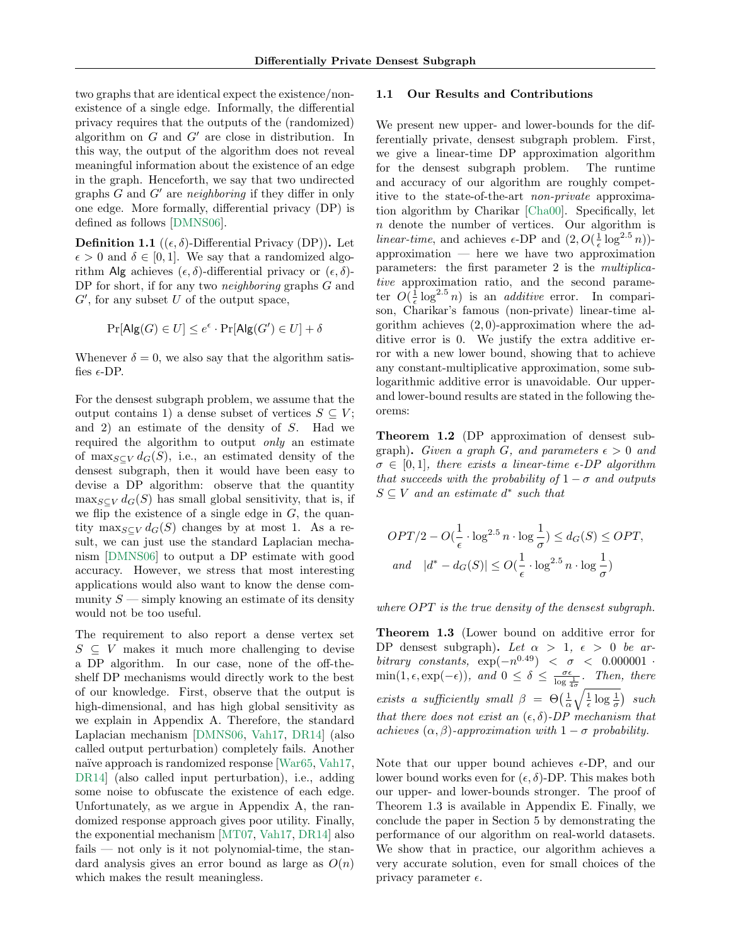two graphs that are identical expect the existence/nonexistence of a single edge. Informally, the differential privacy requires that the outputs of the (randomized) algorithm on  $G$  and  $G'$  are close in distribution. In this way, the output of the algorithm does not reveal meaningful information about the existence of an edge in the graph. Henceforth, we say that two undirected graphs  $G$  and  $G'$  are neighboring if they differ in only one edge. More formally, differential privacy (DP) is defined as follows [\[DMNS06\]](#page-8-5).

**Definition 1.1** (( $\epsilon$ ,  $\delta$ )-Differential Privacy (DP)). Let  $\epsilon > 0$  and  $\delta \in [0, 1]$ . We say that a randomized algorithm Alg achieves  $(\epsilon, \delta)$ -differential privacy or  $(\epsilon, \delta)$ -DP for short, if for any two *neighboring* graphs G and  $G'$ , for any subset  $U$  of the output space,

$$
\Pr[\mathsf{Alg}(G) \in U] \le e^{\epsilon} \cdot \Pr[\mathsf{Alg}(G') \in U] + \delta
$$

Whenever  $\delta = 0$ , we also say that the algorithm satisfies  $\epsilon$ -DP.

For the densest subgraph problem, we assume that the output contains 1) a dense subset of vertices  $S \subseteq V$ ; and 2) an estimate of the density of S. Had we required the algorithm to output only an estimate of max $_{S\subset V}d_G(S)$ , i.e., an estimated density of the densest subgraph, then it would have been easy to devise a DP algorithm: observe that the quantity  $\max_{S \subset V} d_G(S)$  has small global sensitivity, that is, if we flip the existence of a single edge in  $G$ , the quantity max $_{S\subset V} d_G(S)$  changes by at most 1. As a result, we can just use the standard Laplacian mechanism [\[DMNS06\]](#page-8-5) to output a DP estimate with good accuracy. However, we stress that most interesting applications would also want to know the dense community  $S$  — simply knowing an estimate of its density would not be too useful.

The requirement to also report a dense vertex set  $S \subseteq V$  makes it much more challenging to devise a DP algorithm. In our case, none of the off-theshelf DP mechanisms would directly work to the best of our knowledge. First, observe that the output is high-dimensional, and has high global sensitivity as we explain in Appendix A. Therefore, the standard Laplacian mechanism [\[DMNS06,](#page-8-5) [Vah17,](#page-9-4) [DR14\]](#page-8-6) (also called output perturbation) completely fails. Another naïve approach is randomized response [\[War65,](#page-9-5) [Vah17,](#page-9-4) [DR14\]](#page-8-6) (also called input perturbation), i.e., adding some noise to obfuscate the existence of each edge. Unfortunately, as we argue in Appendix A, the randomized response approach gives poor utility. Finally, the exponential mechanism [\[MT07,](#page-8-7) [Vah17,](#page-9-4) [DR14\]](#page-8-6) also fails — not only is it not polynomial-time, the standard analysis gives an error bound as large as  $O(n)$ which makes the result meaningless.

#### 1.1 Our Results and Contributions

We present new upper- and lower-bounds for the differentially private, densest subgraph problem. First, we give a linear-time DP approximation algorithm for the densest subgraph problem. The runtime and accuracy of our algorithm are roughly competitive to the state-of-the-art non-private approximation algorithm by Charikar [\[Cha00\]](#page-8-3). Specifically, let n denote the number of vertices. Our algorithm is linear-time, and achieves  $\epsilon$ -DP and  $(2, O(\frac{1}{\epsilon} \log^{2.5} n))$ approximation — here we have two approximation parameters: the first parameter 2 is the multiplicative approximation ratio, and the second parameter  $O(\frac{1}{\epsilon} \log^{2.5} n)$  is an *additive* error. In comparison, Charikar's famous (non-private) linear-time algorithm achieves  $(2, 0)$ -approximation where the additive error is 0. We justify the extra additive error with a new lower bound, showing that to achieve any constant-multiplicative approximation, some sublogarithmic additive error is unavoidable. Our upperand lower-bound results are stated in the following theorems:

Theorem 1.2 (DP approximation of densest subgraph). Given a graph G, and parameters  $\epsilon > 0$  and  $\sigma \in [0, 1]$ , there exists a linear-time  $\epsilon$ -DP algorithm that succeeds with the probability of  $1 - \sigma$  and outputs  $S \subseteq V$  and an estimate  $d^*$  such that

$$
OPT/2 - O(\frac{1}{\epsilon} \cdot \log^{2.5} n \cdot \log \frac{1}{\sigma}) \le d_G(S) \le OPT,
$$
  
and  $|d^* - d_G(S)| \le O(\frac{1}{\epsilon} \cdot \log^{2.5} n \cdot \log \frac{1}{\sigma})$ 

where  $OPT$  is the true density of the densest subgraph.

<span id="page-1-0"></span>Theorem 1.3 (Lower bound on additive error for DP densest subgraph). Let  $\alpha > 1$ ,  $\epsilon > 0$  be arbitrary constants,  $\exp(-n^{0.49}) < \sigma < 0.000001$ .  $\min(1, \epsilon, \exp(-\epsilon)), \text{ and } 0 \leq \delta \leq \frac{\sigma \epsilon}{\log \frac{1}{4\sigma}}.$  Then, there exists a sufficiently small  $\beta = \Theta\left(\frac{1}{\alpha}\sqrt{\frac{1}{\epsilon}\log \frac{1}{\sigma}}\right)$  such that there does not exist an  $(\epsilon, \delta)$ -DP mechanism that achieves  $(\alpha, \beta)$ -approximation with  $1 - \sigma$  probability.

Note that our upper bound achieves  $\epsilon$ -DP, and our lower bound works even for  $(\epsilon, \delta)$ -DP. This makes both our upper- and lower-bounds stronger. The proof of Theorem [1.3](#page-1-0) is available in Appendix E. Finally, we conclude the paper in Section [5](#page-6-0) by demonstrating the performance of our algorithm on real-world datasets. We show that in practice, our algorithm achieves a very accurate solution, even for small choices of the privacy parameter  $\epsilon$ .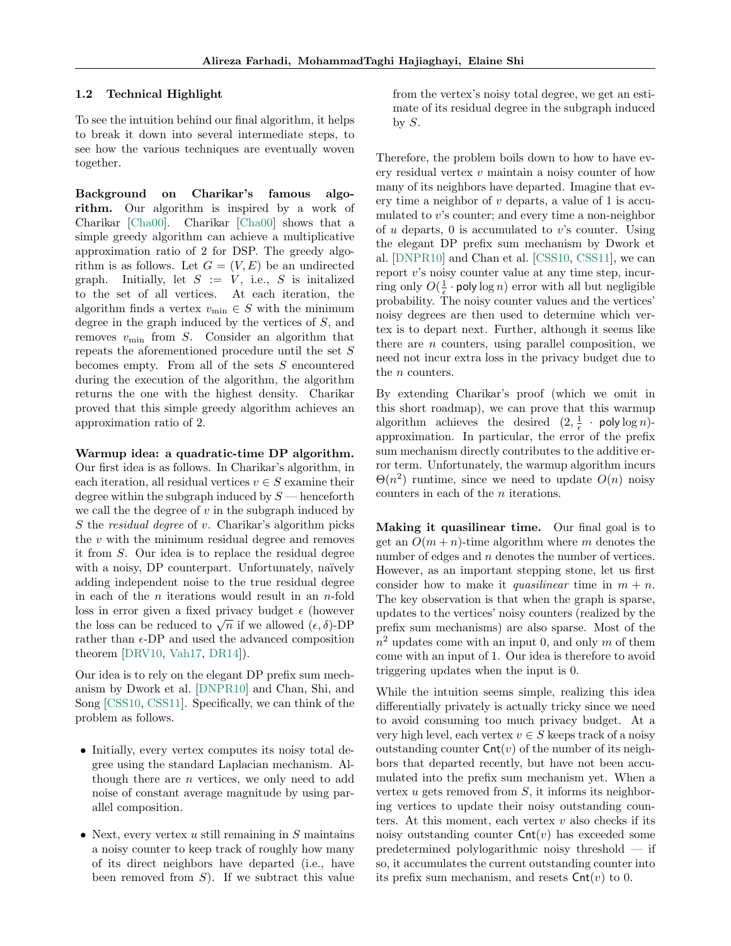#### <span id="page-2-0"></span>1.2 Technical Highlight

To see the intuition behind our final algorithm, it helps to break it down into several intermediate steps, to see how the various techniques are eventually woven together.

Background on Charikar's famous algorithm. Our algorithm is inspired by a work of Charikar [\[Cha00\]](#page-8-3). Charikar [\[Cha00\]](#page-8-3) shows that a simple greedy algorithm can achieve a multiplicative approximation ratio of 2 for DSP. The greedy algorithm is as follows. Let  $G = (V, E)$  be an undirected graph. Initially, let  $S := V$ , i.e., S is initalized to the set of all vertices. At each iteration, the algorithm finds a vertex  $v_{\text{min}} \in S$  with the minimum degree in the graph induced by the vertices of S, and removes  $v_{\text{min}}$  from S. Consider an algorithm that repeats the aforementioned procedure until the set S becomes empty. From all of the sets S encountered during the execution of the algorithm, the algorithm returns the one with the highest density. Charikar proved that this simple greedy algorithm achieves an approximation ratio of 2.

Warmup idea: a quadratic-time DP algorithm. Our first idea is as follows. In Charikar's algorithm, in each iteration, all residual vertices  $v \in S$  examine their degree within the subgraph induced by  $S$  — henceforth we call the the degree of  $v$  in the subgraph induced by S the residual degree of v. Charikar's algorithm picks the  $v$  with the minimum residual degree and removes it from S. Our idea is to replace the residual degree with a noisy, DP counterpart. Unfortunately, naïvely adding independent noise to the true residual degree in each of the  $n$  iterations would result in an  $n$ -fold loss in error given a fixed privacy budget  $\epsilon$  (however the loss can be reduced to  $\sqrt{n}$  if we allowed  $(\epsilon, \delta)$ -DP rather than  $\epsilon$ -DP and used the advanced composition theorem [\[DRV10,](#page-8-8) [Vah17,](#page-9-4) [DR14\]](#page-8-6)).

Our idea is to rely on the elegant DP prefix sum mechanism by Dwork et al. [\[DNPR10\]](#page-8-9) and Chan, Shi, and Song [\[CSS10,](#page-8-10) [CSS11\]](#page-8-11). Specifically, we can think of the problem as follows.

- Initially, every vertex computes its noisy total degree using the standard Laplacian mechanism. Although there are n vertices, we only need to add noise of constant average magnitude by using parallel composition.
- Next, every vertex  $u$  still remaining in  $S$  maintains a noisy counter to keep track of roughly how many of its direct neighbors have departed (i.e., have been removed from  $S$ ). If we subtract this value

from the vertex's noisy total degree, we get an estimate of its residual degree in the subgraph induced by  $S$ .

Therefore, the problem boils down to how to have every residual vertex v maintain a noisy counter of how many of its neighbors have departed. Imagine that every time a neighbor of  $v$  departs, a value of 1 is accumulated to v's counter; and every time a non-neighbor of u departs,  $\theta$  is accumulated to v's counter. Using the elegant DP prefix sum mechanism by Dwork et al. [\[DNPR10\]](#page-8-9) and Chan et al. [\[CSS10,](#page-8-10) [CSS11\]](#page-8-11), we can report  $v$ 's noisy counter value at any time step, incurring only  $O(\frac{1}{\epsilon} \cdot \text{poly}\log n)$  error with all but negligible probability. The noisy counter values and the vertices' noisy degrees are then used to determine which vertex is to depart next. Further, although it seems like there are  $n$  counters, using parallel composition, we need not incur extra loss in the privacy budget due to the *n* counters.

By extending Charikar's proof (which we omit in this short roadmap), we can prove that this warmup algorithm achieves the desired  $(2, \frac{1}{\epsilon} \cdot \text{poly}\log n)$ approximation. In particular, the error of the prefix sum mechanism directly contributes to the additive error term. Unfortunately, the warmup algorithm incurs  $\Theta(n^2)$  runtime, since we need to update  $O(n)$  noisy counters in each of the n iterations.

Making it quasilinear time. Our final goal is to get an  $O(m+n)$ -time algorithm where m denotes the number of edges and *n* denotes the number of vertices. However, as an important stepping stone, let us first consider how to make it *quasilinear* time in  $m + n$ . The key observation is that when the graph is sparse, updates to the vertices' noisy counters (realized by the prefix sum mechanisms) are also sparse. Most of the  $n^2$  updates come with an input 0, and only m of them come with an input of 1. Our idea is therefore to avoid triggering updates when the input is 0.

While the intuition seems simple, realizing this idea differentially privately is actually tricky since we need to avoid consuming too much privacy budget. At a very high level, each vertex  $v \in S$  keeps track of a noisy outstanding counter  $\mathsf{Cnt}(v)$  of the number of its neighbors that departed recently, but have not been accumulated into the prefix sum mechanism yet. When a vertex  $u$  gets removed from  $S$ , it informs its neighboring vertices to update their noisy outstanding counters. At this moment, each vertex  $v$  also checks if its noisy outstanding counter  $\mathsf{Cnt}(v)$  has exceeded some predetermined polylogarithmic noisy threshold — if so, it accumulates the current outstanding counter into its prefix sum mechanism, and resets  $\mathsf{Cnt}(v)$  to 0.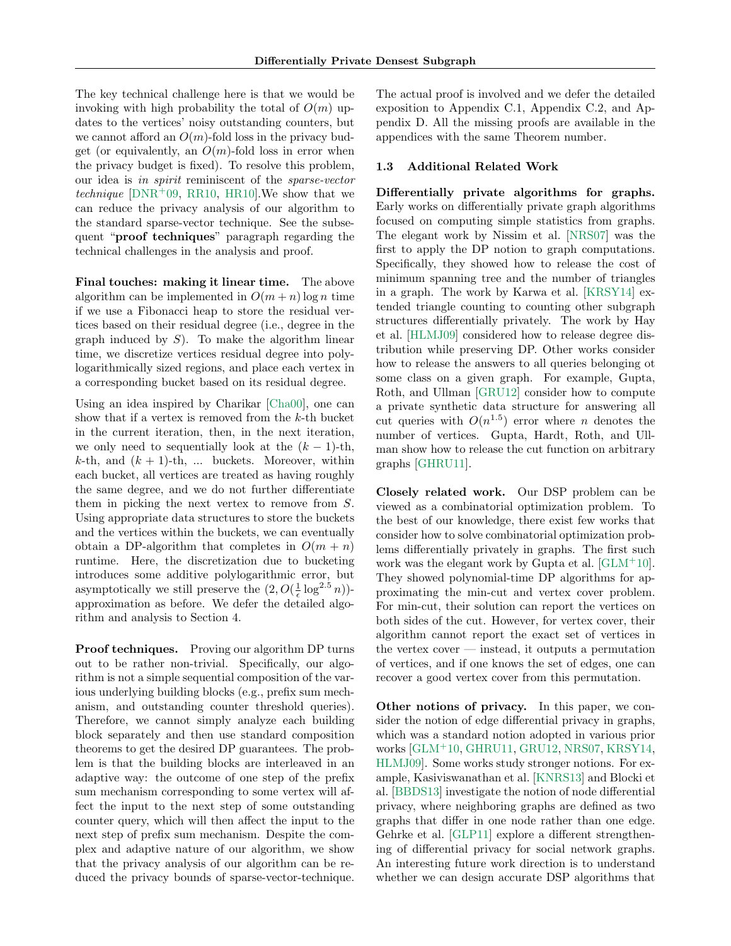The key technical challenge here is that we would be invoking with high probability the total of  $O(m)$  updates to the vertices' noisy outstanding counters, but we cannot afford an  $O(m)$ -fold loss in the privacy budget (or equivalently, an  $O(m)$ -fold loss in error when the privacy budget is fixed). To resolve this problem, our idea is in spirit reminiscent of the sparse-vector technique  $[DNR^+09, RR10, HR10].$  $[DNR^+09, RR10, HR10].$  $[DNR^+09, RR10, HR10].$  $[DNR^+09, RR10, HR10].$  $[DNR^+09, RR10, HR10].$  $[DNR^+09, RR10, HR10].$  We show that we can reduce the privacy analysis of our algorithm to the standard sparse-vector technique. See the subsequent "proof techniques" paragraph regarding the technical challenges in the analysis and proof.

Final touches: making it linear time. The above algorithm can be implemented in  $O(m + n) \log n$  time if we use a Fibonacci heap to store the residual vertices based on their residual degree (i.e., degree in the graph induced by  $S$ ). To make the algorithm linear time, we discretize vertices residual degree into polylogarithmically sized regions, and place each vertex in a corresponding bucket based on its residual degree.

Using an idea inspired by Charikar [\[Cha00\]](#page-8-3), one can show that if a vertex is removed from the  $k$ -th bucket in the current iteration, then, in the next iteration, we only need to sequentially look at the  $(k-1)$ -th,  $k$ -th, and  $(k + 1)$ -th, ... buckets. Moreover, within each bucket, all vertices are treated as having roughly the same degree, and we do not further differentiate them in picking the next vertex to remove from S. Using appropriate data structures to store the buckets and the vertices within the buckets, we can eventually obtain a DP-algorithm that completes in  $O(m + n)$ runtime. Here, the discretization due to bucketing introduces some additive polylogarithmic error, but asymptotically we still preserve the  $(2, O(\frac{1}{\epsilon} \log^{2.5} n))$ approximation as before. We defer the detailed algorithm and analysis to Section [4.](#page-6-1)

Proof techniques. Proving our algorithm DP turns out to be rather non-trivial. Specifically, our algorithm is not a simple sequential composition of the various underlying building blocks (e.g., prefix sum mechanism, and outstanding counter threshold queries). Therefore, we cannot simply analyze each building block separately and then use standard composition theorems to get the desired DP guarantees. The problem is that the building blocks are interleaved in an adaptive way: the outcome of one step of the prefix sum mechanism corresponding to some vertex will affect the input to the next step of some outstanding counter query, which will then affect the input to the next step of prefix sum mechanism. Despite the complex and adaptive nature of our algorithm, we show that the privacy analysis of our algorithm can be reduced the privacy bounds of sparse-vector-technique.

The actual proof is involved and we defer the detailed exposition to Appendix C.1, Appendix C.2, and Appendix D. All the missing proofs are available in the appendices with the same Theorem number.

#### 1.3 Additional Related Work

Differentially private algorithms for graphs. Early works on differentially private graph algorithms focused on computing simple statistics from graphs. The elegant work by Nissim et al. [\[NRS07\]](#page-8-14) was the first to apply the DP notion to graph computations. Specifically, they showed how to release the cost of minimum spanning tree and the number of triangles in a graph. The work by Karwa et al. [\[KRSY14\]](#page-8-15) extended triangle counting to counting other subgraph structures differentially privately. The work by Hay et al. [\[HLMJ09\]](#page-8-16) considered how to release degree distribution while preserving DP. Other works consider how to release the answers to all queries belonging ot some class on a given graph. For example, Gupta, Roth, and Ullman [\[GRU12\]](#page-8-17) consider how to compute a private synthetic data structure for answering all cut queries with  $O(n^{1.5})$  error where *n* denotes the number of vertices. Gupta, Hardt, Roth, and Ullman show how to release the cut function on arbitrary graphs [\[GHRU11\]](#page-8-18).

Closely related work. Our DSP problem can be viewed as a combinatorial optimization problem. To the best of our knowledge, there exist few works that consider how to solve combinatorial optimization problems differentially privately in graphs. The first such work was the elegant work by Gupta et al.  $[\text{GLM}^+10]$ . They showed polynomial-time DP algorithms for approximating the min-cut and vertex cover problem. For min-cut, their solution can report the vertices on both sides of the cut. However, for vertex cover, their algorithm cannot report the exact set of vertices in the vertex cover  $\sim$  instead, it outputs a permutation of vertices, and if one knows the set of edges, one can recover a good vertex cover from this permutation.

Other notions of privacy. In this paper, we consider the notion of edge differential privacy in graphs, which was a standard notion adopted in various prior works [\[GLM](#page-8-19)<sup>+</sup>10, [GHRU11,](#page-8-18) [GRU12,](#page-8-17) [NRS07,](#page-8-14) [KRSY14,](#page-8-15) [HLMJ09\]](#page-8-16). Some works study stronger notions. For example, Kasiviswanathan et al. [\[KNRS13\]](#page-8-20) and Blocki et al. [\[BBDS13\]](#page-7-2) investigate the notion of node differential privacy, where neighboring graphs are defined as two graphs that differ in one node rather than one edge. Gehrke et al. [\[GLP11\]](#page-8-21) explore a different strengthening of differential privacy for social network graphs. An interesting future work direction is to understand whether we can design accurate DSP algorithms that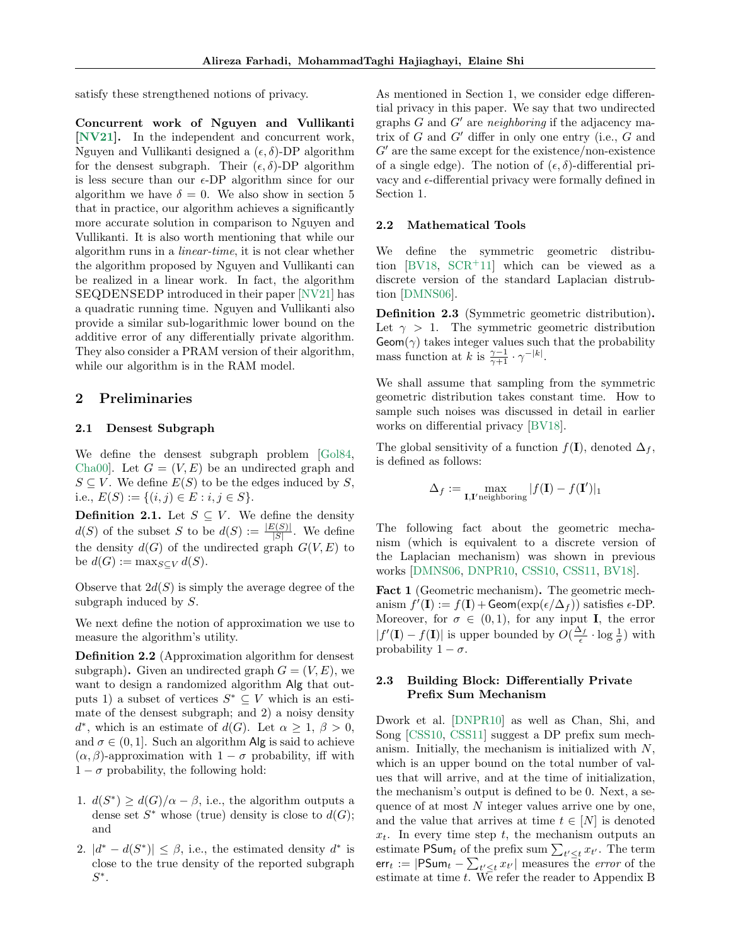satisfy these strengthened notions of privacy.

Concurrent work of Nguyen and Vullikanti [\[NV21\]](#page-9-7). In the independent and concurrent work, Nguyen and Vullikanti designed a  $(\epsilon, \delta)$ -DP algorithm for the densest subgraph. Their  $(\epsilon, \delta)$ -DP algorithm is less secure than our  $\epsilon$ -DP algorithm since for our algorithm we have  $\delta = 0$ . We also show in section [5](#page-6-0) that in practice, our algorithm achieves a significantly more accurate solution in comparison to Nguyen and Vullikanti. It is also worth mentioning that while our algorithm runs in a linear-time, it is not clear whether the algorithm proposed by Nguyen and Vullikanti can be realized in a linear work. In fact, the algorithm SEQDENSEDP introduced in their paper [\[NV21\]](#page-9-7) has a quadratic running time. Nguyen and Vullikanti also provide a similar sub-logarithmic lower bound on the additive error of any differentially private algorithm. They also consider a PRAM version of their algorithm, while our algorithm is in the RAM model.

### 2 Preliminaries

#### 2.1 Densest Subgraph

We define the densest subgraph problem [\[Gol84,](#page-8-0) Cha00. Let  $G = (V, E)$  be an undirected graph and  $S \subseteq V$ . We define  $E(S)$  to be the edges induced by S, i.e.,  $E(S) := \{(i, j) \in E : i, j \in S\}.$ 

**Definition 2.1.** Let  $S \subseteq V$ . We define the density  $d(S)$  of the subset S to be  $d(S) := \frac{|E(S)|}{|S|}$ . We define the density  $d(G)$  of the undirected graph  $G(V, E)$  to be  $d(G) := \max_{S \subset V} d(S)$ .

Observe that  $2d(S)$  is simply the average degree of the subgraph induced by S.

We next define the notion of approximation we use to measure the algorithm's utility.

Definition 2.2 (Approximation algorithm for densest subgraph). Given an undirected graph  $G = (V, E)$ , we want to design a randomized algorithm Alg that outputs 1) a subset of vertices  $S^* \subseteq V$  which is an estimate of the densest subgraph; and 2) a noisy density  $d^*$ , which is an estimate of  $d(G)$ . Let  $\alpha \geq 1, \beta > 0$ , and  $\sigma \in (0, 1]$ . Such an algorithm Alg is said to achieve  $(\alpha, \beta)$ -approximation with  $1 - \sigma$  probability, iff with  $1 - \sigma$  probability, the following hold:

- 1.  $d(S^*) \geq d(G)/\alpha \beta$ , i.e., the algorithm outputs a dense set  $S^*$  whose (true) density is close to  $d(G)$ ; and
- 2.  $|d^* d(S^*)| \leq \beta$ , i.e., the estimated density  $d^*$  is close to the true density of the reported subgraph  $S^*$ .

As mentioned in Section [1,](#page-0-0) we consider edge differential privacy in this paper. We say that two undirected graphs  $G$  and  $G'$  are neighboring if the adjacency matrix of  $G$  and  $G'$  differ in only one entry (i.e.,  $G$  and  $G'$  are the same except for the existence/non-existence of a single edge). The notion of  $(\epsilon, \delta)$ -differential privacy and  $\epsilon$ -differential privacy were formally defined in Section [1.](#page-0-0)

#### 2.2 Mathematical Tools

We define the symmetric geometric distribution  $[BV18, SCR+11]$  $[BV18, SCR+11]$  $[BV18, SCR+11]$  which can be viewed as a discrete version of the standard Laplacian distrubtion [\[DMNS06\]](#page-8-5).

Definition 2.3 (Symmetric geometric distribution). Let  $\gamma > 1$ . The symmetric geometric distribution  $Geom(\gamma)$  takes integer values such that the probability mass function at k is  $\frac{\gamma-1}{\gamma+1} \cdot \gamma^{-|k|}$ .

We shall assume that sampling from the symmetric geometric distribution takes constant time. How to sample such noises was discussed in detail in earlier works on differential privacy [\[BV18\]](#page-7-3).

The global sensitivity of a function  $f(I)$ , denoted  $\Delta_f$ , is defined as follows:

$$
\Delta_f := \max_{\mathbf{I},\mathbf{I}' \text{neighbouring}} |f(\mathbf{I}) - f(\mathbf{I}')|_1
$$

The following fact about the geometric mechanism (which is equivalent to a discrete version of the Laplacian mechanism) was shown in previous works [\[DMNS06,](#page-8-5) [DNPR10,](#page-8-9) [CSS10,](#page-8-10) [CSS11,](#page-8-11) [BV18\]](#page-7-3).

Fact 1 (Geometric mechanism). The geometric mechanism  $f'(\mathbf{I}) := f(\mathbf{I}) + \mathsf{Geom}(\exp(\epsilon/\Delta_f))$  satisfies  $\epsilon$ -DP. Moreover, for  $\sigma \in (0,1)$ , for any input **I**, the error  $|f'(\mathbf{I}) - f(\mathbf{I})|$  is upper bounded by  $O(\frac{\Delta_f}{\epsilon} \cdot \log \frac{1}{\sigma})$  with probability  $1 - \sigma$ .

#### 2.3 Building Block: Differentially Private Prefix Sum Mechanism

Dwork et al. [\[DNPR10\]](#page-8-9) as well as Chan, Shi, and Song [\[CSS10,](#page-8-10) [CSS11\]](#page-8-11) suggest a DP prefix sum mechanism. Initially, the mechanism is initialized with N, which is an upper bound on the total number of values that will arrive, and at the time of initialization, the mechanism's output is defined to be 0. Next, a sequence of at most  $N$  integer values arrive one by one, and the value that arrives at time  $t \in [N]$  is denoted  $x_t$ . In every time step t, the mechanism outputs an estimate PSum<sub>t</sub> of the prefix sum  $\sum_{t' \leq t} x_{t'}$ . The term err $_t := |\mathsf{PSum}_t - \sum_{t' \leq t} x_{t'}|$  measures the *error* of the estimate at time  $t$ . We refer the reader to Appendix B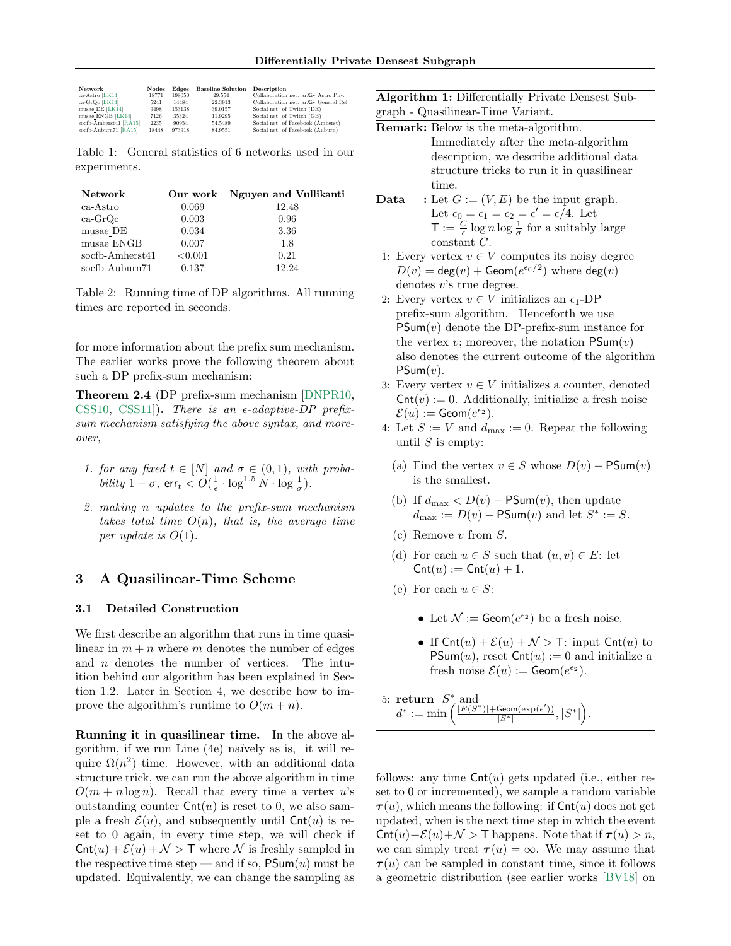<span id="page-5-1"></span>

| Network                           | Nodes         | Edges           | <b>Baseline Solution</b> | Description                                                                  |
|-----------------------------------|---------------|-----------------|--------------------------|------------------------------------------------------------------------------|
| ca-Astro [LK14]<br>ca-GrQc [LK14] | 18771<br>5241 | 198050<br>14484 | 29.554<br>22.3913        | Collaboration net. arXiv Astro Phy.<br>Collaboration net. arXiv General Rel. |
| musae_DE [LK14]                   | 9498          | 153138          | 39.0157                  | Social net. of Twitch (DE)                                                   |
| musae ENGB [LK14]                 | 7126          | 35324           | 11.9295                  | Social net. of Twitch (GB)                                                   |
| socfb-Amherst41 [RA15]            | 2235          | 90954           | 54.5489                  | Social net. of Facebook (Amherst)                                            |
| socfb-Auburn71 [RA15]             | 18448         | 973918          | 84.9551                  | Social net. of Facebook (Auburn)                                             |

Table 1: General statistics of 6 networks used in our experiments.

<span id="page-5-3"></span>

| <b>Network</b>  |         | Our work Nguyen and Vullikanti |
|-----------------|---------|--------------------------------|
| ca-Astro        | 0.069   | 12.48                          |
| $ca-GrQc$       | 0.003   | 0.96                           |
| musae DE        | 0.034   | 3.36                           |
| musae ENGB      | 0.007   | 1.8                            |
| socfb-Amherst41 | < 0.001 | 0.21                           |
| socfb-Auburn71  | 0.137   | 12.24                          |

Table 2: Running time of DP algorithms. All running times are reported in seconds.

for more information about the prefix sum mechanism. The earlier works prove the following theorem about such a DP prefix-sum mechanism:

Theorem 2.4 (DP prefix-sum mechanism [\[DNPR10,](#page-8-9) [CSS10,](#page-8-10) [CSS11\]](#page-8-11)). There is an  $\epsilon$ -adaptive-DP prefixsum mechanism satisfying the above syntax, and moreover,

- 1. for any fixed  $t \in [N]$  and  $\sigma \in (0,1)$ , with proba*bility*  $1 - \sigma$ ,  $\textsf{err}_t < O(\frac{1}{\epsilon} \cdot \log^{1.5} N \cdot \log \frac{1}{\sigma}).$
- 2. making n updates to the prefix-sum mechanism takes total time  $O(n)$ , that is, the average time per update is  $O(1)$ .

### 3 A Quasilinear-Time Scheme

#### <span id="page-5-0"></span>3.1 Detailed Construction

We first describe an algorithm that runs in time quasilinear in  $m + n$  where m denotes the number of edges and  $n$  denotes the number of vertices. The intuition behind our algorithm has been explained in Section [1.2.](#page-2-0) Later in Section [4,](#page-6-1) we describe how to improve the algorithm's runtime to  $O(m + n)$ .

Running it in quasilinear time. In the above algorithm, if we run Line  $(4e)$  naïvely as is, it will require  $\Omega(n^2)$  time. However, with an additional data structure trick, we can run the above algorithm in time  $O(m + n \log n)$ . Recall that every time a vertex u's outstanding counter  $\text{Cnt}(u)$  is reset to 0, we also sample a fresh  $\mathcal{E}(u)$ , and subsequently until  $\mathsf{Cnt}(u)$  is reset to 0 again, in every time step, we will check if  $\text{Cnt}(u) + \mathcal{E}(u) + \mathcal{N} > \mathsf{T}$  where  $\mathcal N$  is freshly sampled in the respective time step — and if so,  $\mathsf{PSum}(u)$  must be updated. Equivalently, we can change the sampling as Algorithm 1: Differentially Private Densest Subgraph - Quasilinear-Time Variant.

| Remark: Below is the meta-algorithm. |  |  |  |  |  |
|--------------------------------------|--|--|--|--|--|
|--------------------------------------|--|--|--|--|--|

- Immediately after the meta-algorithm description, we describe additional data structure tricks to run it in quasilinear time.
- **Data** : Let  $G := (V, E)$  be the input graph. Let  $\epsilon_0 = \epsilon_1 = \epsilon_2 = \epsilon' = \epsilon/4$ . Let  $\mathsf{T} := \frac{C}{\epsilon} \log n \log \frac{1}{\sigma}$  for a suitably large constant C.
- 1: Every vertex  $v \in V$  computes its noisy degree  $D(v) = \deg(v) + \text{Geom}(e^{\epsilon_0/2})$  where  $\deg(v)$ denotes v's true degree.
- 2: Every vertex  $v \in V$  initializes an  $\epsilon_1$ -DP prefix-sum algorithm. Henceforth we use  $PSum(v)$  denote the DP-prefix-sum instance for the vertex v; moreover, the notation  $\mathsf{PSum}(v)$ also denotes the current outcome of the algorithm  $PSum(v)$ .
- 3: Every vertex  $v \in V$  initializes a counter, denoted  $\textsf{Cnt}(v) := 0.$  Additionally, initialize a fresh noise  $\mathcal{E}(u) := \text{Geom}(e^{\epsilon_2}).$
- 4: Let  $S := V$  and  $d_{\text{max}} := 0$ . Repeat the following until  $S$  is empty:
	- (a) Find the vertex  $v \in S$  whose  $D(v) \text{PSum}(v)$ is the smallest.
	- (b) If  $d_{\text{max}} < D(v)$  PSum $(v)$ , then update  $d_{\text{max}} := D(v) - \text{PSum}(v)$  and let  $S^* := S$ .
	- $(c)$  Remove v from  $S$ .
	- (d) For each  $u \in S$  such that  $(u, v) \in E$ : let  $\text{Cnt}(u) := \text{Cnt}(u) + 1.$
	- (e) For each  $u \in S$ :
		- Let  $\mathcal{N} := \text{Geom}(e^{\epsilon_2})$  be a fresh noise.
		- If  $\text{Cnt}(u) + \mathcal{E}(u) + \mathcal{N} > T$ : input  $\text{Cnt}(u)$  to PSum $(u)$ , reset Cnt $(u) := 0$  and initialize a fresh noise  $\mathcal{E}(u) := \text{Geom}(e^{\epsilon_2}).$

<span id="page-5-2"></span>5: **return** 
$$
S^*
$$
 and  
 $d^* := \min \left( \frac{|E(S^*)| + \text{Geom}(\exp(\epsilon'))}{|S^*|}, |S^*| \right).$ 

follows: any time  $\textsf{Cnt}(u)$  gets updated (i.e., either reset to 0 or incremented), we sample a random variable  $\tau(u)$ , which means the following: if  $\textsf{Cnt}(u)$  does not get updated, when is the next time step in which the event  $\text{Cnt}(u)+\mathcal{E}(u)+\mathcal{N}$  > T happens. Note that if  $\tau(u) > n$ , we can simply treat  $\tau(u) = \infty$ . We may assume that  $\tau(u)$  can be sampled in constant time, since it follows a geometric distribution (see earlier works [\[BV18\]](#page-7-3) on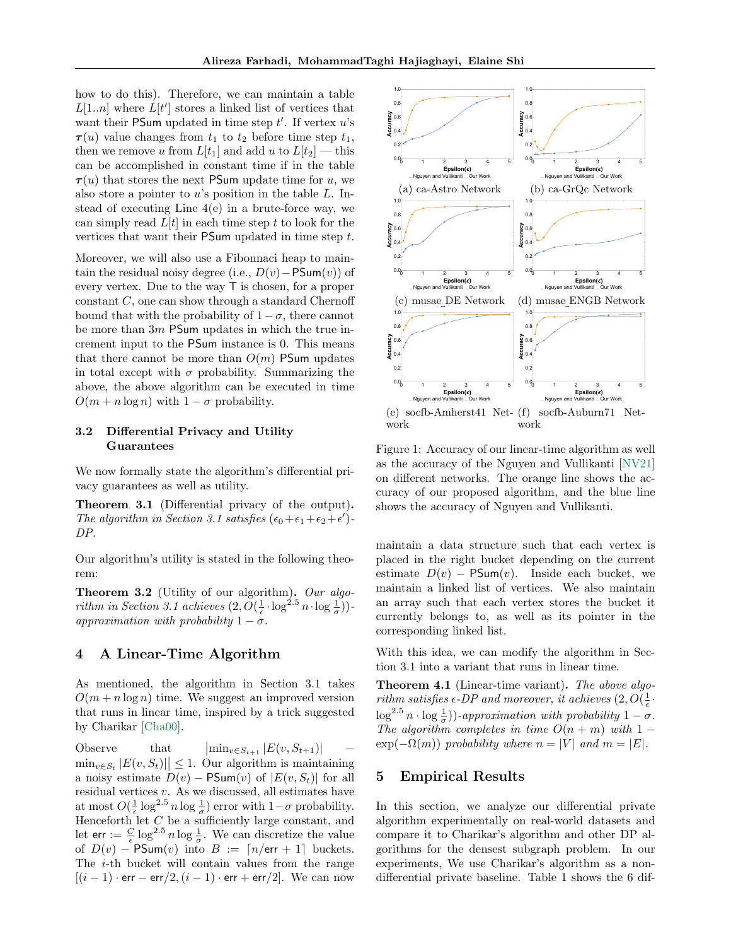how to do this). Therefore, we can maintain a table  $L[1..n]$  where  $L[t']$  stores a linked list of vertices that want their PSum updated in time step  $t'$ . If vertex  $u$ 's  $\tau(u)$  value changes from  $t_1$  to  $t_2$  before time step  $t_1$ , then we remove u from  $L[t_1]$  and add u to  $L[t_2]$  — this can be accomplished in constant time if in the table  $\tau(u)$  that stores the next PSum update time for u, we also store a pointer to  $u$ 's position in the table  $L$ . Instead of executing Line  $4(e)$  in a brute-force way, we can simply read  $L[t]$  in each time step t to look for the vertices that want their PSum updated in time step t.

Moreover, we will also use a Fibonnaci heap to maintain the residual noisy degree (i.e.,  $D(v)$  – PSum $(v)$ ) of every vertex. Due to the way T is chosen, for a proper constant  $C$ , one can show through a standard Chernoff bound that with the probability of  $1 - \sigma$ , there cannot be more than  $3m$  PSum updates in which the true increment input to the PSum instance is 0. This means that there cannot be more than  $O(m)$  PSum updates in total except with  $\sigma$  probability. Summarizing the above, the above algorithm can be executed in time  $O(m + n \log n)$  with  $1 - \sigma$  probability.

### 3.2 Differential Privacy and Utility **Guarantees**

We now formally state the algorithm's differential privacy guarantees as well as utility.

Theorem 3.1 (Differential privacy of the output). The algorithm in Section [3.1](#page-5-0) satisfies  $(\epsilon_0 + \epsilon_1 + \epsilon_2 + \epsilon')$ DP.

Our algorithm's utility is stated in the following theorem:

**Theorem 3.2** (Utility of our algorithm). Our algo-rithm in Section [3.1](#page-5-0) achieves  $(2, O(\frac{1}{\epsilon} \cdot \log^{2.5} n \cdot \log \frac{1}{\sigma}))$ approximation with probability  $1 - \sigma$ .

### <span id="page-6-1"></span>4 A Linear-Time Algorithm

As mentioned, the algorithm in Section [3.1](#page-5-0) takes  $O(m + n \log n)$  time. We suggest an improved version that runs in linear time, inspired by a trick suggested by Charikar [\[Cha00\]](#page-8-3).

Observe that  $\left|\min_{v \in S_{t+1}} |E(v, S_{t+1})| \right|$  –  $\min_{v \in S_t} |E(v, S_t)| \leq 1$ . Our algorithm is maintaining a noisy estimate  $D(v)$  – PSum(v) of  $|E(v, S_t)|$  for all residual vertices v. As we discussed, all estimates have at most  $O(\frac{1}{\epsilon} \log^{2.5} n \log \frac{1}{\sigma})$  error with  $1-\sigma$  probability. Henceforth let C be a sufficiently large constant, and let  $\text{err} := \frac{C}{\epsilon} \log^{2.5} n \log \frac{1}{\sigma}$ . We can discretize the value of  $D(v)$  – PSum $(v)$  into  $B := \lceil n/err + 1 \rceil$  buckets. The i-th bucket will contain values from the range  $[(i-1)\cdot err - err/2, (i-1)\cdot err + err/2]$ . We can now

<span id="page-6-2"></span>

Figure 1: Accuracy of our linear-time algorithm as well as the accuracy of the Nguyen and Vullikanti [\[NV21\]](#page-9-7) on different networks. The orange line shows the accuracy of our proposed algorithm, and the blue line shows the accuracy of Nguyen and Vullikanti.

maintain a data structure such that each vertex is placed in the right bucket depending on the current estimate  $D(v)$  – PSum(v). Inside each bucket, we maintain a linked list of vertices. We also maintain an array such that each vertex stores the bucket it currently belongs to, as well as its pointer in the corresponding linked list.

With this idea, we can modify the algorithm in Section [3.1](#page-5-0) into a variant that runs in linear time.

Theorem 4.1 (Linear-time variant). The above algorithm satisfies  $\epsilon$ -DP and moreover, it achieves  $(2, O(\frac{1}{\epsilon})$  $\log^{2.5} n \cdot \log \frac{1}{\sigma})$ )-approximation with probability  $1 - \sigma$ . The algorithm completes in time  $O(n + m)$  with 1 –  $\exp(-\Omega(m))$  probability where  $n = |V|$  and  $m = |E|$ .

### <span id="page-6-0"></span>5 Empirical Results

In this section, we analyze our differential private algorithm experimentally on real-world datasets and compare it to Charikar's algorithm and other DP algorithms for the densest subgraph problem. In our experiments, We use Charikar's algorithm as a nondifferential private baseline. Table [1](#page-5-1) shows the 6 dif-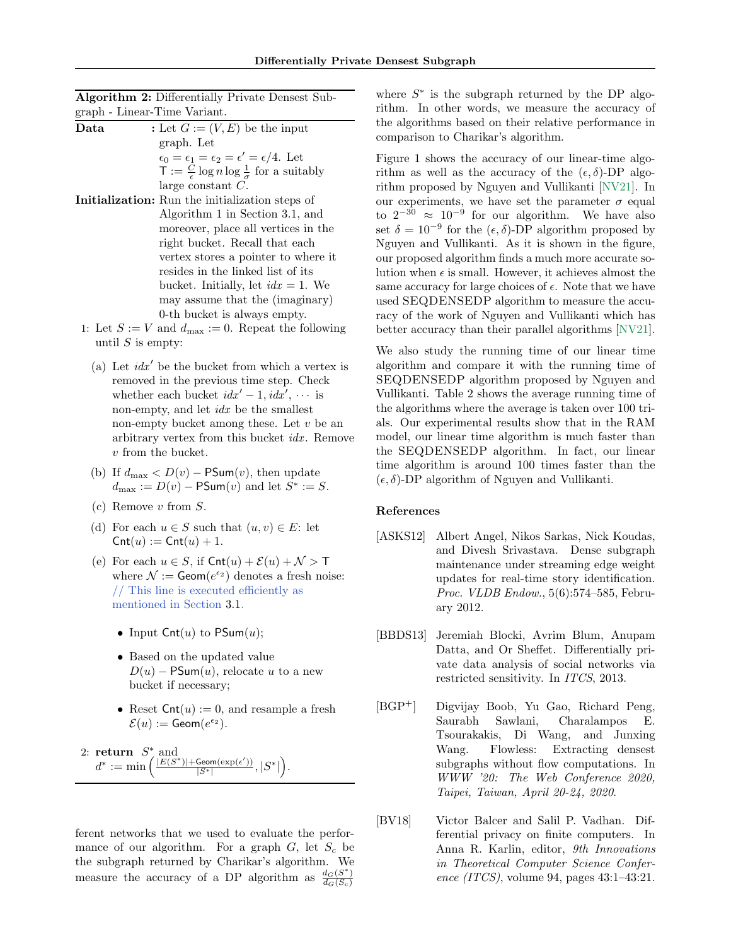|                              | <b>Algorithm 2:</b> Differentially Private Densest Sub- |
|------------------------------|---------------------------------------------------------|
| graph - Linear-Time Variant. |                                                         |

- **Data** : Let  $G := (V, E)$  be the input graph. Let  $\epsilon_0 = \epsilon_1 = \epsilon_2 = \epsilon' = \epsilon/4.$  Let  $\mathsf{T} := \frac{C}{\epsilon} \log n \log \frac{1}{\sigma}$  for a suitably large constant C. Initialization: Run the initialization steps of
- Algorithm [1](#page-5-2) in Section [3.1,](#page-5-0) and moreover, place all vertices in the right bucket. Recall that each vertex stores a pointer to where it resides in the linked list of its bucket. Initially, let  $idx = 1$ . We may assume that the (imaginary) 0-th bucket is always empty.
- 1: Let  $S := V$  and  $d_{\text{max}} := 0$ . Repeat the following until  $S$  is empty:
	- (a) Let  $idx'$  be the bucket from which a vertex is removed in the previous time step. Check whether each bucket  $idx' - 1$ ,  $idx'$ ,  $\cdots$  is non-empty, and let *idx* be the smallest non-empty bucket among these. Let  $v$  be an arbitrary vertex from this bucket *idx*. Remove v from the bucket.
	- (b) If  $d_{\text{max}} < D(v) \text{PSum}(v)$ , then update  $d_{\text{max}} := D(v) - \text{PSum}(v)$  and let  $S^* := S$ .
	- (c) Remove v from S.
	- (d) For each  $u \in S$  such that  $(u, v) \in E$ : let  $\text{Cnt}(u) := \text{Cnt}(u) + 1.$
	- (e) For each  $u \in S$ , if  $\text{Cnt}(u) + \mathcal{E}(u) + \mathcal{N} > T$ where  $\mathcal{N} := \text{Geom}(e^{\epsilon_2})$  denotes a fresh noise: // This line is executed efficiently as mentioned in Section [3.1.](#page-5-0)
		- Input  $\textsf{Cnt}(u)$  to  $\textsf{PSum}(u)$ ;
		- Based on the updated value  $D(u)$  – PSum $(u)$ , relocate u to a new bucket if necessary;
		- Reset  $\textsf{Cnt}(u) := 0$ , and resample a fresh  $\mathcal{E}(u) := \text{Geom}(e^{\epsilon_2}).$

2: **return** 
$$
S^*
$$
 and  
 $d^* := \min \left( \frac{|E(S^*)| + \text{Geom}(\exp(\epsilon'))}{|S^*|}, |S^*| \right).$ 

ferent networks that we used to evaluate the performance of our algorithm. For a graph  $G$ , let  $S_c$  be the subgraph returned by Charikar's algorithm. We measure the accuracy of a DP algorithm as  $\frac{d_G(S^*)}{d_G(S)}$  $d_G(S_c)$ 

where  $S^*$  is the subgraph returned by the DP algorithm. In other words, we measure the accuracy of the algorithms based on their relative performance in comparison to Charikar's algorithm.

Figure [1](#page-6-2) shows the accuracy of our linear-time algorithm as well as the accuracy of the  $(\epsilon, \delta)$ -DP algorithm proposed by Nguyen and Vullikanti [\[NV21\]](#page-9-7). In our experiments, we have set the parameter  $\sigma$  equal to  $2^{-30} \approx 10^{-9}$  for our algorithm. We have also set  $\delta = 10^{-9}$  for the  $(\epsilon, \delta)$ -DP algorithm proposed by Nguyen and Vullikanti. As it is shown in the figure, our proposed algorithm finds a much more accurate solution when  $\epsilon$  is small. However, it achieves almost the same accuracy for large choices of  $\epsilon$ . Note that we have used SEQDENSEDP algorithm to measure the accuracy of the work of Nguyen and Vullikanti which has better accuracy than their parallel algorithms [\[NV21\]](#page-9-7).

We also study the running time of our linear time algorithm and compare it with the running time of SEQDENSEDP algorithm proposed by Nguyen and Vullikanti. Table [2](#page-5-3) shows the average running time of the algorithms where the average is taken over 100 trials. Our experimental results show that in the RAM model, our linear time algorithm is much faster than the SEQDENSEDP algorithm. In fact, our linear time algorithm is around 100 times faster than the  $(\epsilon, \delta)$ -DP algorithm of Nguyen and Vullikanti.

#### References

- <span id="page-7-0"></span>[ASKS12] Albert Angel, Nikos Sarkas, Nick Koudas, and Divesh Srivastava. Dense subgraph maintenance under streaming edge weight updates for real-time story identification. Proc. VLDB Endow., 5(6):574–585, February 2012.
- <span id="page-7-2"></span>[BBDS13] Jeremiah Blocki, Avrim Blum, Anupam Datta, and Or Sheffet. Differentially private data analysis of social networks via restricted sensitivity. In ITCS, 2013.
- <span id="page-7-1"></span>[BGP<sup>+</sup>] Digvijay Boob, Yu Gao, Richard Peng, Saurabh Sawlani, Charalampos E. Tsourakakis, Di Wang, and Junxing Wang. Flowless: Extracting densest subgraphs without flow computations. In WWW '20: The Web Conference 2020, Taipei, Taiwan, April 20-24, 2020.
- <span id="page-7-3"></span>[BV18] Victor Balcer and Salil P. Vadhan. Differential privacy on finite computers. In Anna R. Karlin, editor, 9th Innovations in Theoretical Computer Science Conference (ITCS), volume 94, pages 43:1–43:21.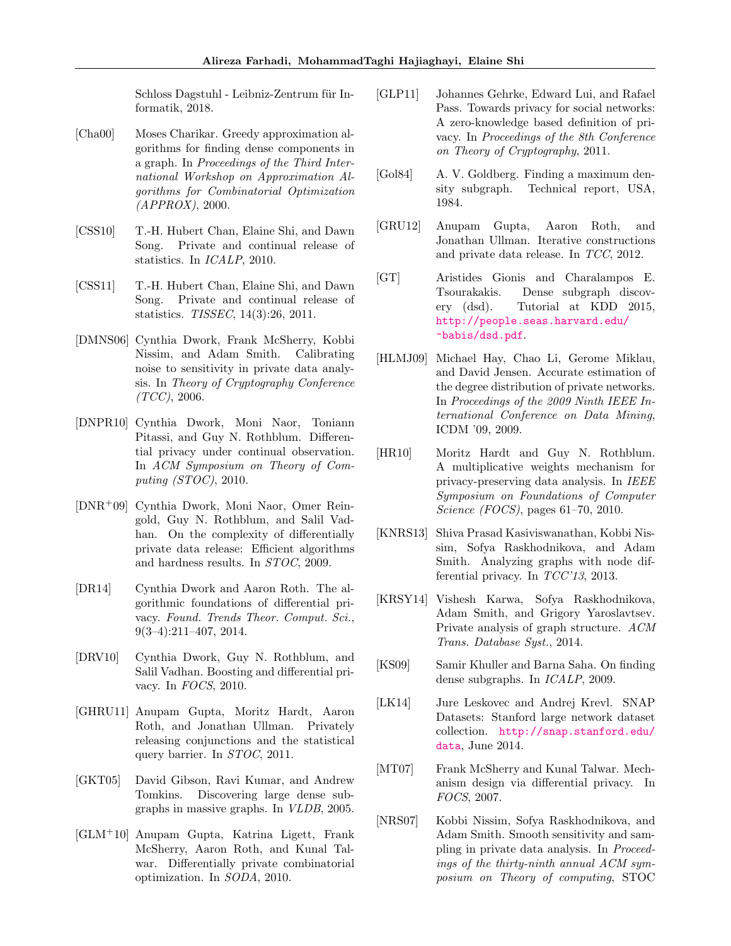Schloss Dagstuhl - Leibniz-Zentrum für Informatik, 2018.

- <span id="page-8-3"></span>[Cha00] Moses Charikar. Greedy approximation algorithms for finding dense components in a graph. In Proceedings of the Third International Workshop on Approximation Algorithms for Combinatorial Optimization (APPROX), 2000.
- <span id="page-8-10"></span>[CSS10] T.-H. Hubert Chan, Elaine Shi, and Dawn Song. Private and continual release of statistics. In ICALP, 2010.
- <span id="page-8-11"></span>[CSS11] T.-H. Hubert Chan, Elaine Shi, and Dawn Song. Private and continual release of statistics. TISSEC, 14(3):26, 2011.
- <span id="page-8-5"></span>[DMNS06] Cynthia Dwork, Frank McSherry, Kobbi Nissim, and Adam Smith. Calibrating noise to sensitivity in private data analysis. In Theory of Cryptography Conference  $(TCC), 2006.$
- <span id="page-8-9"></span>[DNPR10] Cynthia Dwork, Moni Naor, Toniann Pitassi, and Guy N. Rothblum. Differential privacy under continual observation. In ACM Symposium on Theory of Computing (STOC), 2010.
- <span id="page-8-12"></span>[DNR+09] Cynthia Dwork, Moni Naor, Omer Reingold, Guy N. Rothblum, and Salil Vadhan. On the complexity of differentially private data release: Efficient algorithms and hardness results. In STOC, 2009.
- <span id="page-8-6"></span>[DR14] Cynthia Dwork and Aaron Roth. The algorithmic foundations of differential privacy. Found. Trends Theor. Comput. Sci., 9(3–4):211–407, 2014.
- <span id="page-8-8"></span>[DRV10] Cynthia Dwork, Guy N. Rothblum, and Salil Vadhan. Boosting and differential privacy. In FOCS, 2010.
- <span id="page-8-18"></span>[GHRU11] Anupam Gupta, Moritz Hardt, Aaron Roth, and Jonathan Ullman. Privately releasing conjunctions and the statistical query barrier. In STOC, 2011.
- <span id="page-8-1"></span>[GKT05] David Gibson, Ravi Kumar, and Andrew Tomkins. Discovering large dense subgraphs in massive graphs. In VLDB, 2005.
- <span id="page-8-19"></span>[GLM<sup>+</sup>10] Anupam Gupta, Katrina Ligett, Frank McSherry, Aaron Roth, and Kunal Talwar. Differentially private combinatorial optimization. In SODA, 2010.
- <span id="page-8-21"></span>[GLP11] Johannes Gehrke, Edward Lui, and Rafael Pass. Towards privacy for social networks: A zero-knowledge based definition of privacy. In Proceedings of the 8th Conference on Theory of Cryptography, 2011.
- <span id="page-8-0"></span>[Gol84] A. V. Goldberg. Finding a maximum density subgraph. Technical report, USA, 1984.
- <span id="page-8-17"></span>[GRU12] Anupam Gupta, Aaron Roth, and Jonathan Ullman. Iterative constructions and private data release. In TCC, 2012.
- <span id="page-8-2"></span>[GT] Aristides Gionis and Charalampos E. Tsourakakis. Dense subgraph discovery (dsd). Tutorial at KDD 2015, [http://people.seas.harvard.edu/](http://people.seas.harvard.edu/~babis/dsd.pdf) [~babis/dsd.pdf](http://people.seas.harvard.edu/~babis/dsd.pdf).
- <span id="page-8-16"></span>[HLMJ09] Michael Hay, Chao Li, Gerome Miklau, and David Jensen. Accurate estimation of the degree distribution of private networks. In Proceedings of the 2009 Ninth IEEE International Conference on Data Mining, ICDM '09, 2009.
- <span id="page-8-13"></span>[HR10] Moritz Hardt and Guy N. Rothblum. A multiplicative weights mechanism for privacy-preserving data analysis. In IEEE Symposium on Foundations of Computer Science (FOCS), pages 61–70, 2010.
- <span id="page-8-20"></span>[KNRS13] Shiva Prasad Kasiviswanathan, Kobbi Nissim, Sofya Raskhodnikova, and Adam Smith. Analyzing graphs with node differential privacy. In TCC'13, 2013.
- <span id="page-8-15"></span>[KRSY14] Vishesh Karwa, Sofya Raskhodnikova, Adam Smith, and Grigory Yaroslavtsev. Private analysis of graph structure. ACM Trans. Database Syst., 2014.
- <span id="page-8-4"></span>[KS09] Samir Khuller and Barna Saha. On finding dense subgraphs. In ICALP, 2009.
- <span id="page-8-22"></span>[LK14] Jure Leskovec and Andrej Krevl. SNAP Datasets: Stanford large network dataset collection. [http://snap.stanford.edu/](http://snap.stanford.edu/data) [data](http://snap.stanford.edu/data), June 2014.
- <span id="page-8-7"></span>[MT07] Frank McSherry and Kunal Talwar. Mechanism design via differential privacy. In FOCS, 2007.
- <span id="page-8-14"></span>[NRS07] Kobbi Nissim, Sofya Raskhodnikova, and Adam Smith. Smooth sensitivity and sampling in private data analysis. In Proceedings of the thirty-ninth annual ACM symposium on Theory of computing, STOC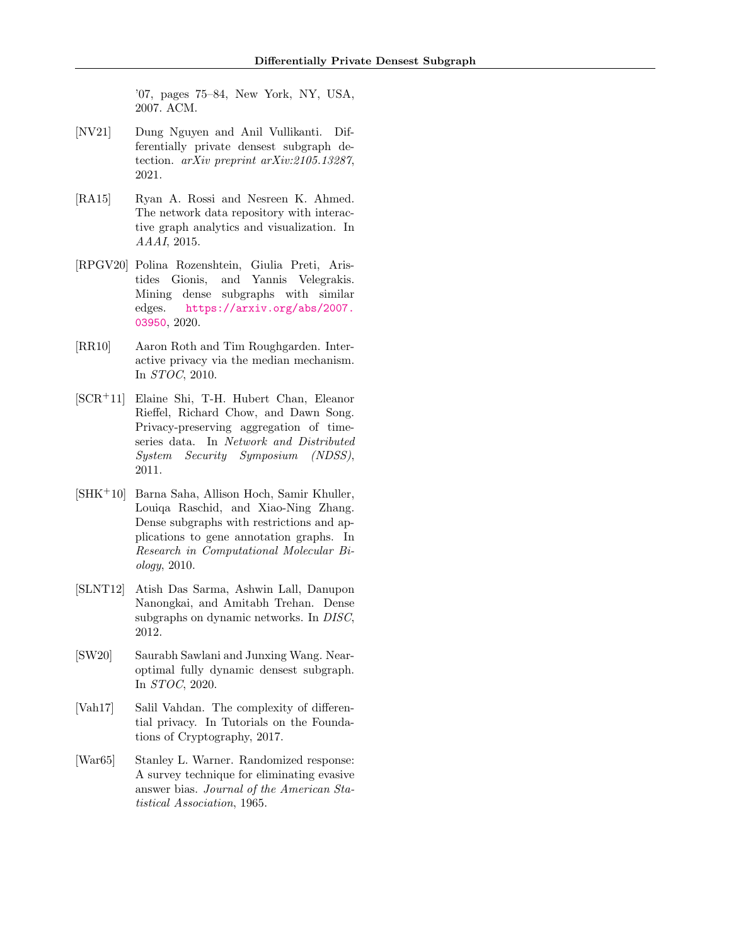'07, pages 75–84, New York, NY, USA, 2007. ACM.

- <span id="page-9-7"></span>[NV21] Dung Nguyen and Anil Vullikanti. Differentially private densest subgraph detection. arXiv preprint arXiv:2105.13287, 2021.
- <span id="page-9-9"></span>[RA15] Ryan A. Rossi and Nesreen K. Ahmed. The network data repository with interactive graph analytics and visualization. In AAAI, 2015.
- <span id="page-9-0"></span>[RPGV20] Polina Rozenshtein, Giulia Preti, Aristides Gionis, and Yannis Velegrakis. Mining dense subgraphs with similar edges. [https://arxiv.org/abs/2007.](https://arxiv.org/abs/2007.03950) [03950](https://arxiv.org/abs/2007.03950), 2020.
- <span id="page-9-6"></span>[RR10] Aaron Roth and Tim Roughgarden. Interactive privacy via the median mechanism. In STOC, 2010.
- <span id="page-9-8"></span>[SCR+11] Elaine Shi, T-H. Hubert Chan, Eleanor Rieffel, Richard Chow, and Dawn Song. Privacy-preserving aggregation of timeseries data. In Network and Distributed System Security Symposium (NDSS), 2011.
- <span id="page-9-1"></span>[SHK+10] Barna Saha, Allison Hoch, Samir Khuller, Louiqa Raschid, and Xiao-Ning Zhang. Dense subgraphs with restrictions and applications to gene annotation graphs. In Research in Computational Molecular Biology, 2010.
- <span id="page-9-2"></span>[SLNT12] Atish Das Sarma, Ashwin Lall, Danupon Nanongkai, and Amitabh Trehan. Dense subgraphs on dynamic networks. In DISC, 2012.
- <span id="page-9-3"></span>[SW20] Saurabh Sawlani and Junxing Wang. Nearoptimal fully dynamic densest subgraph. In STOC, 2020.
- <span id="page-9-4"></span>[Vah17] Salil Vahdan. The complexity of differential privacy. In Tutorials on the Foundations of Cryptography, 2017.
- <span id="page-9-5"></span>[War65] Stanley L. Warner. Randomized response: A survey technique for eliminating evasive answer bias. Journal of the American Statistical Association, 1965.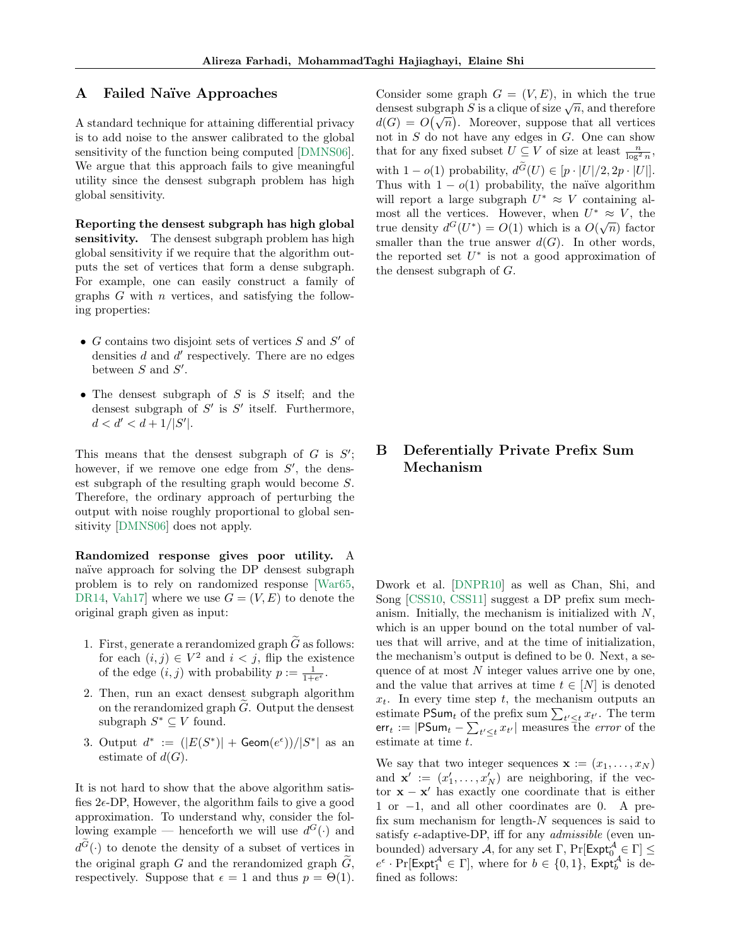### A Failed Naïve Approaches

A standard technique for attaining differential privacy is to add noise to the answer calibrated to the global sensitivity of the function being computed [\[DMNS06\]](#page-8-5). We argue that this approach fails to give meaningful utility since the densest subgraph problem has high global sensitivity.

Reporting the densest subgraph has high global sensitivity. The densest subgraph problem has high global sensitivity if we require that the algorithm outputs the set of vertices that form a dense subgraph. For example, one can easily construct a family of graphs  $G$  with  $n$  vertices, and satisfying the following properties:

- $G$  contains two disjoint sets of vertices  $S$  and  $S'$  of densities  $d$  and  $d'$  respectively. There are no edges between  $S$  and  $S'$ .
- The densest subgraph of  $S$  is  $S$  itself; and the densest subgraph of  $S'$  is  $S'$  itself. Furthermore,  $d < d' < d + 1/|S'|$ .

This means that the densest subgraph of  $G$  is  $S'$ ; however, if we remove one edge from  $S'$ , the densest subgraph of the resulting graph would become S. Therefore, the ordinary approach of perturbing the output with noise roughly proportional to global sensitivity [\[DMNS06\]](#page-8-5) does not apply.

Randomized response gives poor utility. A na¨ıve approach for solving the DP densest subgraph problem is to rely on randomized response [\[War65,](#page-9-5) [DR14,](#page-8-6) Vah17 where we use  $G = (V, E)$  to denote the original graph given as input:

- 1. First, generate a rerandomized graph  $\tilde{G}$  as follows: for each  $(i, j) \in V^2$  and  $i < j$ , flip the existence of the edge  $(i, j)$  with probability  $p := \frac{1}{1 + e^{\epsilon}}$ .
- 2. Then, run an exact densest subgraph algorithm on the rerandomized graph  $G$ . Output the densest subgraph  $S^* \subseteq V$  found.
- 3. Output  $d^* := (|E(S^*)| + {\sf Geom}(e^{\epsilon}))/|S^*|$  as an estimate of  $d(G)$ .

It is not hard to show that the above algorithm satisfies  $2e$ -DP, However, the algorithm fails to give a good approximation. To understand why, consider the following example — henceforth we will use  $d^G(\cdot)$  and  $d^G(\cdot)$  to denote the density of a subset of vertices in the original graph  $G$  and the rerandomized graph  $\tilde{G}$ , respectively. Suppose that  $\epsilon = 1$  and thus  $p = \Theta(1)$ . Consider some graph  $G = (V, E)$ , in which the true Consider some graph  $G = (V, E)$ , in which the true<br>densest subgraph S is a clique of size  $\sqrt{n}$ , and therefore densest subgraph 3 is a chique of size  $\sqrt{n}$ , and therefore  $d(G) = O(\sqrt{n})$ . Moreover, suppose that all vertices not in  $S$  do not have any edges in  $G$ . One can show that for any fixed subset  $U \subseteq V$  of size at least  $\frac{n}{\log^2 n}$ , with  $1 - o(1)$  probability,  $d^G(U) \in [p \cdot |U|/2, 2p \cdot |U|].$ Thus with  $1 - o(1)$  probability, the naïve algorithm will report a large subgraph  $U^* \approx V$  containing almost all the vertices. However, when  $U^* \approx V$ , the true density  $d^G(U^*) = O(1)$  which is a  $O(\sqrt{n})$  factor smaller than the true answer  $d(G)$ . In other words, the reported set  $U^*$  is not a good approximation of the densest subgraph of G.

## B Deferentially Private Prefix Sum Mechanism

Dwork et al. [\[DNPR10\]](#page-8-9) as well as Chan, Shi, and Song [\[CSS10,](#page-8-10) [CSS11\]](#page-8-11) suggest a DP prefix sum mechanism. Initially, the mechanism is initialized with  $N$ , which is an upper bound on the total number of values that will arrive, and at the time of initialization, the mechanism's output is defined to be 0. Next, a sequence of at most  $N$  integer values arrive one by one, and the value that arrives at time  $t \in [N]$  is denoted  $x_t$ . In every time step t, the mechanism outputs an estimate  $\mathsf{PSum}_t$  of the prefix sum  $\sum_{t' \leq t} x_{t'}$ . The term err $_t := |\mathsf{PSum}_t - \sum_{t' \leq t} x_{t'}|$  measures the *error* of the estimate at time t.

We say that two integer sequences  $\mathbf{x} := (x_1, \dots, x_N)$ and  $\mathbf{x}' := (x'_1, \dots, x'_N)$  are neighboring, if the vector  $\mathbf{x} - \mathbf{x}'$  has exactly one coordinate that is either 1 or −1, and all other coordinates are 0. A prefix sum mechanism for length- $N$  sequences is said to satisfy  $\epsilon$ -adaptive-DP, iff for any *admissible* (even unbounded) adversary A, for any set  $\Gamma$ , Pr[Expt<sup>A</sup>  $\in \Gamma$ ]  $\leq$  $e^{\epsilon} \cdot \Pr[\mathsf{Expt}_1^{\mathcal{A}} \in \Gamma],$  where for  $b \in \{0,1\},$   $\mathsf{Expt}_b^{\mathcal{A}}$  is defined as follows: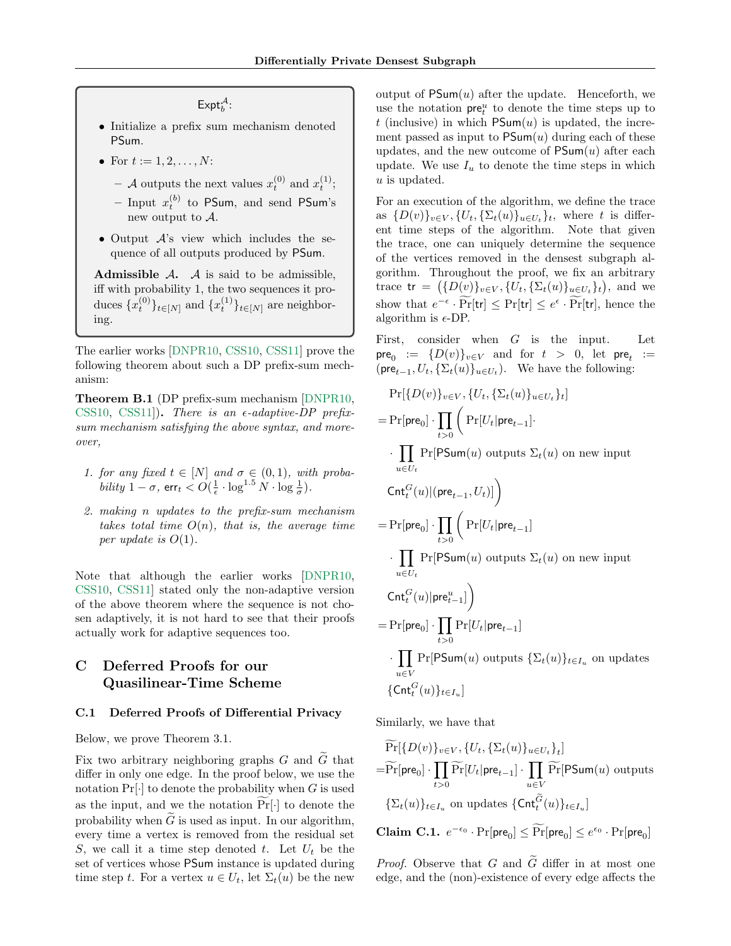$\mathsf{Expt}^{\mathcal{A}}_b$ :

- Initialize a prefix sum mechanism denoted PSum.
- For  $t := 1, 2, ..., N$ :
	- A outputs the next values  $x_t^{(0)}$  and  $x_t^{(1)}$ ;
	- Input  $x_t^{(b)}$  to PSum, and send PSum's new output to A.
- Output A's view which includes the sequence of all outputs produced by PSum.

Admissible  $A$ .  $A$  is said to be admissible, iff with probability 1, the two sequences it produces  ${x_t^{(0)}\}_{t \in [N]}$  and  ${x_t^{(1)}\}_{t \in [N]}$  are neighboring.

The earlier works [\[DNPR10,](#page-8-9) [CSS10,](#page-8-10) [CSS11\]](#page-8-11) prove the following theorem about such a DP prefix-sum mechanism:

Theorem B.1 (DP prefix-sum mechanism [\[DNPR10,](#page-8-9) [CSS10,](#page-8-10) [CSS11\]](#page-8-11)). There is an  $\epsilon$ -adaptive-DP prefixsum mechanism satisfying the above syntax, and moreover,

- 1. for any fixed  $t \in [N]$  and  $\sigma \in (0,1)$ , with proba*bility*  $1 - \sigma$ ,  $\mathsf{err}_t < O(\frac{1}{\epsilon} \cdot \log^{1.5} N \cdot \log \frac{1}{\sigma}).$
- <span id="page-11-1"></span>2. making n updates to the prefix-sum mechanism takes total time  $O(n)$ , that is, the average time per update is  $O(1)$ .

Note that although the earlier works [\[DNPR10,](#page-8-9) [CSS10,](#page-8-10) [CSS11\]](#page-8-11) stated only the non-adaptive version of the above theorem where the sequence is not chosen adaptively, it is not hard to see that their proofs actually work for adaptive sequences too.

# C Deferred Proofs for our Quasilinear-Time Scheme

### C.1 Deferred Proofs of Differential Privacy

Below, we prove Theorem 3.1.

Fix two arbitrary neighboring graphs G and  $\tilde{G}$  that differ in only one edge. In the proof below, we use the notation  $Pr[\cdot]$  to denote the probability when G is used as the input, and we the notation  $Pr[\cdot]$  to denote the probability when  $\tilde{G}$  is used as input. In our algorithm, every time a vertex is removed from the residual set S, we call it a time step denoted t. Let  $U_t$  be the set of vertices whose PSum instance is updated during time step t. For a vertex  $u \in U_t$ , let  $\Sigma_t(u)$  be the new output of  $\text{PSum}(u)$  after the update. Henceforth, we use the notation  $pre_t^u$  to denote the time steps up to t (inclusive) in which  $PSum(u)$  is updated, the increment passed as input to  $\mathsf{PSum}(u)$  during each of these updates, and the new outcome of  $\mathsf{PSum}(u)$  after each update. We use  $I_u$  to denote the time steps in which u is updated.

For an execution of the algorithm, we define the trace as  $\{D(v)\}_{v\in V}, \{U_t, \{\Sigma_t(u)\}_{u\in U_t}\}_t$ , where t is different time steps of the algorithm. Note that given the trace, one can uniquely determine the sequence of the vertices removed in the densest subgraph algorithm. Throughout the proof, we fix an arbitrary trace  $\mathsf{tr} = (\{D(v)\}_{v \in V}, \{U_t, \{\Sigma_t(u)\}_{u \in U_t}\}_t)$ , and we show that  $e^{-\epsilon} \cdot \overline{\Pr}[\text{tr}] \leq \Pr[\text{tr}] \leq e^{\epsilon} \cdot \overline{\Pr}[\text{tr}],$  hence the algorithm is  $\epsilon$ -DP.

First, consider when  $G$  is the input. Let  $\mathsf{pre}_0 := \{D(v)\}_{v \in V}$  and for  $t > 0$ , let  $\mathsf{pre}_t :=$  $(\text{pre}_{t-1}, U_t, \{\Sigma_t(u)\}_{u \in U_t})$ . We have the following:

$$
\Pr[\{D(v)\}_{v\in V}, \{U_t, \{\Sigma_t(u)\}_{u\in U_t}\}_t]
$$
\n
$$
= \Pr[\text{pre}_0] \cdot \prod_{t>0} \left( \Pr[U_t | \text{pre}_{t-1}] \cdot \prod_{u\in U_t} \Pr[\text{PSum}(u) \text{ outputs } \Sigma_t(u) \text{ on new input}
$$
\n
$$
\text{Cnt}_t^G(u) | (\text{pre}_{t-1}, U_t)] \right)
$$
\n
$$
= \Pr[\text{pre}_0] \cdot \prod_{t>0} \left( \Pr[U_t | \text{pre}_{t-1}]
$$
\n
$$
\cdot \prod_{u\in U_t} \Pr[\text{PSum}(u) \text{ outputs } \Sigma_t(u) \text{ on new input}
$$
\n
$$
\text{Cnt}_t^G(u) | \text{pre}_{t-1}^u] \right)
$$
\n
$$
= \Pr[\text{pre}_0] \cdot \prod_{t>0} \Pr[U_t | \text{pre}_{t-1}]
$$
\n
$$
\cdot \prod_{u\in V} \Pr[\text{PSum}(u) \text{ outputs } \{\Sigma_t(u)\}_{t\in I_u} \text{ on updates}
$$
\n
$$
\{\text{Cnt}_t^G(u)\}_{t\in I_u}]
$$

Similarly, we have that

 $\sim$ 

$$
\Pr[\{D(v)\}_{v \in V}, \{U_t, \{\Sigma_t(u)\}_{u \in U_t}\}_t]
$$
\n
$$
= \Pr[\text{pre}_0] \cdot \prod_{t > 0} \Pr[U_t | \text{pre}_{t-1}] \cdot \prod_{u \in V} \Pr[\text{PSum}(u) \text{ outputs}
$$
\n
$$
\{\Sigma_t(u)\}_{t \in I_u} \text{ on updates } \{\text{Cnt}_t^{\widetilde{G}}(u)\}_{t \in I_u}]
$$
\n
$$
\text{Claim C.1. } e^{-\epsilon_0} \cdot \Pr[\text{pre}_0] \le \widetilde{\Pr}[\text{pre}_0] \le e^{\epsilon_0} \cdot \Pr[\text{pre}_0]
$$

<span id="page-11-0"></span>*Proof.* Observe that G and  $\tilde{G}$  differ in at most one edge, and the (non)-existence of every edge affects the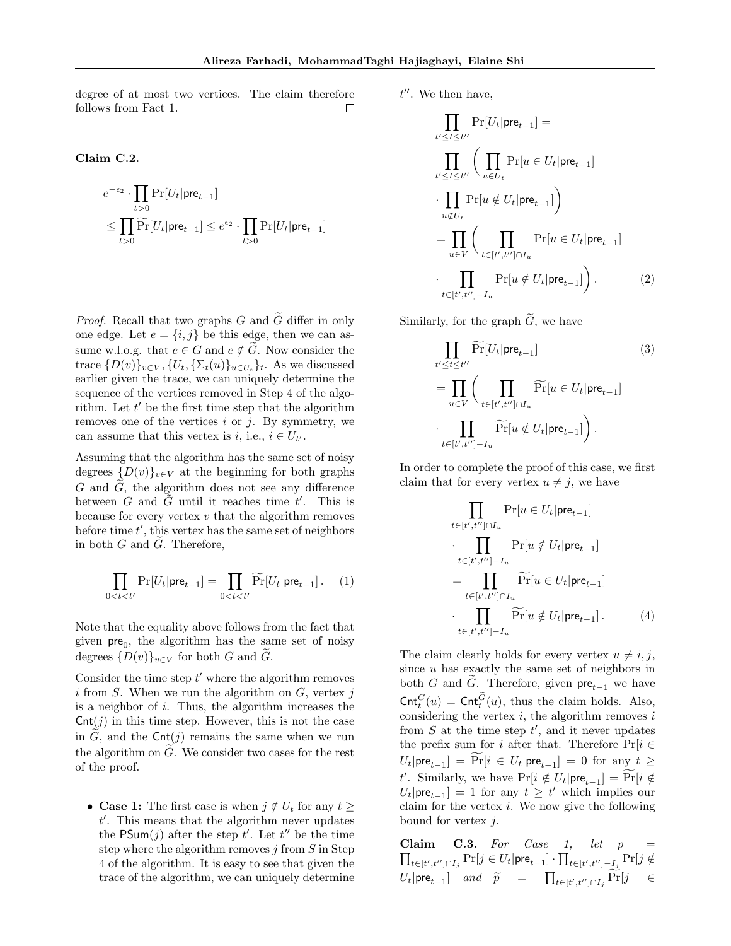degree of at most two vertices. The claim therefore follows from Fact 1.  $\Box$ 

### <span id="page-12-3"></span>Claim C.2.

$$
\begin{aligned} &e^{-\epsilon_2}\cdot\prod_{t>0}\Pr[U_t|\textsf{pre}_{t-1}] \\ &\leq \prod_{t>0}\widetilde{\Pr}[U_t|\textsf{pre}_{t-1}] \leq e^{\epsilon_2}\cdot\prod_{t>0}\Pr[U_t|\textsf{pre}_{t-1}] \end{aligned}
$$

*Proof.* Recall that two graphs G and  $\widetilde{G}$  differ in only one edge. Let  $e = \{i, j\}$  be this edge, then we can assume w.l.o.g. that  $e \in G$  and  $e \notin \tilde{G}$ . Now consider the trace  $\{D(v)\}_{v\in V}$ ,  $\{U_t, \{\Sigma_t(u)\}_{u\in U_t}\}_t$ . As we discussed earlier given the trace, we can uniquely determine the sequence of the vertices removed in Step 4 of the algorithm. Let  $t'$  be the first time step that the algorithm removes one of the vertices  $i$  or  $j$ . By symmetry, we can assume that this vertex is *i*, i.e.,  $i \in U_{t'}$ .

Assuming that the algorithm has the same set of noisy degrees  ${D(v)}_{v\in V}$  at the beginning for both graphs G and  $\tilde{G}$ , the algorithm does not see any difference between G and  $\tilde{G}$  until it reaches time t'. This is because for every vertex  $v$  that the algorithm removes before time  $t'$ , this vertex has the same set of neighbors in both  $G$  and  $\widetilde{G}$ . Therefore,

$$
\prod_{0 < t < t'} \Pr[U_t | \mathsf{pre}_{t-1}] = \prod_{0 < t < t'} \widetilde{\Pr}[U_t | \mathsf{pre}_{t-1}]. \tag{1}
$$

Note that the equality above follows from the fact that given  $pre_0$ , the algorithm has the same set of noisy degrees  $\{D(v)\}_{v\in V}$  for both G and G.

Consider the time step  $t'$  where the algorithm removes i from S. When we run the algorithm on  $G$ , vertex j is a neighbor of  $i$ . Thus, the algorithm increases the  $\textsf{Cnt}(j)$  in this time step. However, this is not the case in G, and the  $\text{Cnt}(i)$  remains the same when we run the algorithm on  $\tilde{G}$ . We consider two cases for the rest of the proof.

• Case 1: The first case is when  $j \notin U_t$  for any  $t \geq$  $t'$ . This means that the algorithm never updates the PSum(j) after the step t'. Let  $t''$  be the time step where the algorithm removes  $j$  from  $S$  in Step 4 of the algorithm. It is easy to see that given the trace of the algorithm, we can uniquely determine  $t''$ . We then have,

$$
\prod_{t' \leq t \leq t''} \Pr[U_t | \mathbf{pre}_{t-1}] =
$$
\n
$$
\prod_{t' \leq t \leq t''} \left( \prod_{u \in U_t} \Pr[u \in U_t | \mathbf{pre}_{t-1}] \right)
$$
\n
$$
\cdot \prod_{u \notin U_t} \Pr[u \notin U_t | \mathbf{pre}_{t-1}]
$$
\n
$$
= \prod_{u \in V} \left( \prod_{t \in [t', t''] \cap I_u} \Pr[u \in U_t | \mathbf{pre}_{t-1}] \right)
$$
\n
$$
\cdot \prod_{t \in [t', t''] - I_u} \Pr[u \notin U_t | \mathbf{pre}_{t-1}] \right). \tag{2}
$$

Similarly, for the graph  $\tilde{G}$ , we have

<span id="page-12-5"></span><span id="page-12-4"></span>
$$
\prod_{t' \leq t \leq t''} \widetilde{\Pr}[U_t | \mathsf{pre}_{t-1}] \tag{3}
$$
\n
$$
= \prod_{u \in V} \left( \prod_{t \in [t', t''] \cap I_u} \widetilde{\Pr}[u \in U_t | \mathsf{pre}_{t-1}] \right)
$$
\n
$$
\cdot \prod_{t \in [t', t''] - I_u} \widetilde{\Pr}[u \notin U_t | \mathsf{pre}_{t-1}] \right).
$$

In order to complete the proof of this case, we first claim that for every vertex  $u \neq j$ , we have

<span id="page-12-1"></span>
$$
\prod_{t \in [t',t''] \cap I_u} \Pr[u \in U_t | \text{pre}_{t-1}]
$$
\n
$$
\cdot \prod_{t \in [t',t''] - I_u} \Pr[u \notin U_t | \text{pre}_{t-1}]
$$
\n
$$
= \prod_{t \in [t',t''] \cap I_u} \widetilde{\Pr}[u \in U_t | \text{pre}_{t-1}]
$$
\n
$$
\cdot \prod_{t \in [t',t''] - I_u} \widetilde{\Pr}[u \notin U_t | \text{pre}_{t-1}]
$$
\n(4)

<span id="page-12-0"></span>The claim clearly holds for every vertex  $u \neq i, j$ , since  $u$  has exactly the same set of neighbors in both G and  $\widetilde{G}$ . Therefore, given  $\mathsf{pre}_{t-1}$  we have  $\mathsf{Cnt}_t^G(u) = \mathsf{Cnt}_t^G(u)$ , thus the claim holds. Also, considering the vertex  $i$ , the algorithm removes  $i$ from  $S$  at the time step  $t'$ , and it never updates the prefix sum for i after that. Therefore  $Pr[i \in$  $U_t|\mathsf{pre}_{t-1}] = \Pr[i \in U_t|\mathsf{pre}_{t-1}] = 0$  for any  $t \geq$ t'. Similarly, we have  $Pr[i \notin U_t | pre_{t-1}] = Pr[i \notin$  $U_t|\text{pre}_{t-1}| = 1$  for any  $t \geq t'$  which implies our claim for the vertex  $i$ . We now give the following bound for vertex  $i$ .

<span id="page-12-2"></span>Claim C.3. For Case 1, let  $p =$  $\prod_{t \in [t',t''] \cap I_j}\Pr[j \in U_t | \mathsf{pre}_{t-1}] \cdot \prod_{t \in [t',t''] - I_j}\Pr[j \notin$  $U_t|\text{pre}_{t-1}]$  and  $\widetilde{p} = \prod_{t \in [t',t''] \cap I_j} \Pr[j] \in$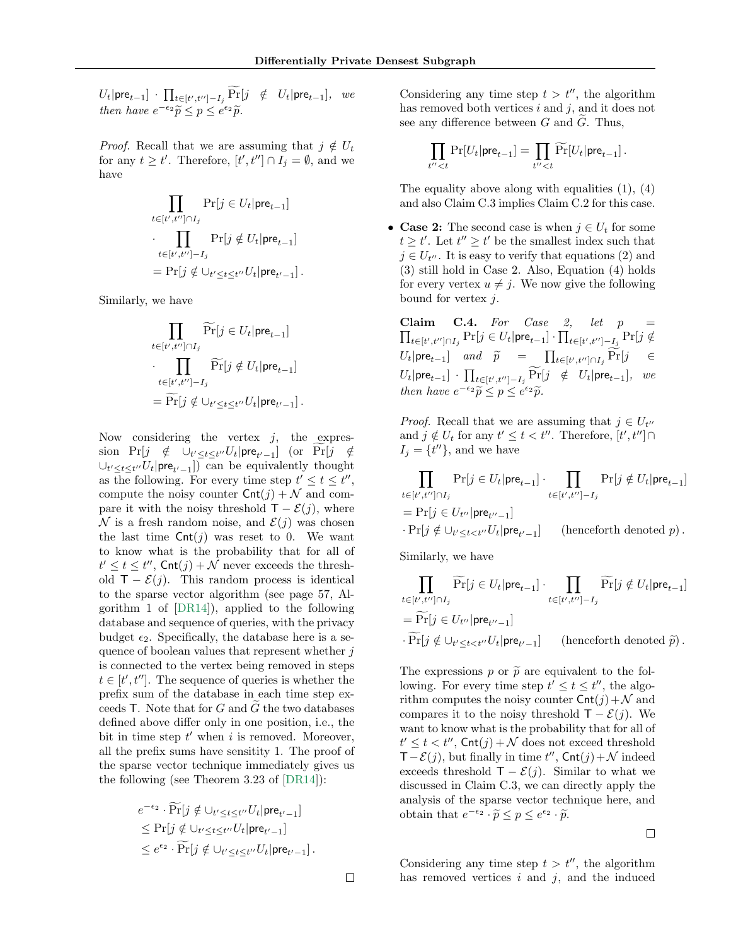$U_t|\mathsf{pre}_{t-1}] \cdot \prod_{t \in [t',t''] - I_j} \Pr[j \notin U_t|\mathsf{pre}_{t-1}], \text{ we}$ then have  $e^{-\epsilon_2}\tilde{p} \leq p \leq e^{\epsilon_2}\tilde{p}$ .

*Proof.* Recall that we are assuming that  $j \notin U_t$ for any  $t \geq t'$ . Therefore,  $[t', t''] \cap I_j = \emptyset$ , and we have

$$
\prod_{t \in [t',t''] \cap I_j} \Pr[j \in U_t | \mathsf{pre}_{t-1}]
$$
\n
$$
\cdot \prod_{t \in [t',t''] - I_j} \Pr[j \notin U_t | \mathsf{pre}_{t-1}]
$$
\n
$$
= \Pr[j \notin \cup_{t' \le t \le t''} U_t | \mathsf{pre}_{t'-1}] .
$$

Similarly, we have

$$
\prod_{t \in [t',t''] \cap I_j} \widetilde{\Pr}[j \in U_t | \mathsf{pre}_{t-1}]
$$
\n
$$
\cdot \prod_{t \in [t',t''] - I_j} \widetilde{\Pr}[j \notin U_t | \mathsf{pre}_{t-1}]
$$
\n
$$
= \widetilde{\Pr}[j \notin \cup_{t' \le t \le t''} U_t | \mathsf{pre}_{t'-1}].
$$

Now considering the vertex  $j$ , the expression  $Pr[j \notin \cup_{t' \leq t \leq t''} U_t | pre_{t'-1}]$  (or  $Pr[j \notin \cup_{t' \leq t \leq t''} U_t | pre_{t'-1}]$  $\cup_{t' \leq t \leq t''} U_t | \mathsf{pre}_{t'-1}]$  can be equivalently thought as the following. For every time step  $t' \leq t \leq t''$ , compute the noisy counter  $\mathsf{Cnt}(i) + \mathcal{N}$  and compare it with the noisy threshold  $T - \mathcal{E}(j)$ , where  $\mathcal N$  is a fresh random noise, and  $\mathcal E(j)$  was chosen the last time  $\textsf{Cnt}(j)$  was reset to 0. We want to know what is the probability that for all of  $t' \leq t \leq t''$ , Cnt $(j) + \mathcal{N}$  never exceeds the threshold  $T - \mathcal{E}(j)$ . This random process is identical to the sparse vector algorithm (see page 57, Algorithm 1 of [\[DR14\]](#page-8-6)), applied to the following database and sequence of queries, with the privacy budget  $\epsilon_2$ . Specifically, the database here is a sequence of boolean values that represent whether  $j$ is connected to the vertex being removed in steps  $t \in [t', t'']$ . The sequence of queries is whether the prefix sum of the database in each time step exceeds  $\mathsf T.$  Note that for  $G$  and  $G$  the two databases defined above differ only in one position, i.e., the bit in time step  $t'$  when i is removed. Moreover, all the prefix sums have sensitity 1. The proof of the sparse vector technique immediately gives us the following (see Theorem 3.23 of [\[DR14\]](#page-8-6)):

$$
e^{-\epsilon_2} \cdot \widetilde{\Pr}[j \notin \bigcup_{t' \le t \le t''} U_t | \mathsf{pre}_{t'-1}]
$$
  
\n
$$
\le \Pr[j \notin \bigcup_{t' \le t \le t''} U_t | \mathsf{pre}_{t'-1}]
$$
  
\n
$$
\le e^{\epsilon_2} \cdot \widetilde{\Pr}[j \notin \bigcup_{t' \le t \le t''} U_t | \mathsf{pre}_{t'-1}] .
$$

Considering any time step  $t > t''$ , the algorithm has removed both vertices  $i$  and  $j$ , and it does not see any difference between  $G$  and  $G$ . Thus,

$$
\prod_{t''
$$

The equality above along with equalities [\(1\)](#page-12-0), [\(4\)](#page-12-1) and also Claim [C.3](#page-12-2) implies Claim [C.2](#page-12-3) for this case.

• Case 2: The second case is when  $j \in U_t$  for some  $t \geq t'$ . Let  $t'' \geq t'$  be the smallest index such that  $j \in U_{t''}$ . It is easy to verify that equations [\(2\)](#page-12-4) and [\(3\)](#page-12-5) still hold in Case 2. Also, Equation [\(4\)](#page-12-1) holds for every vertex  $u \neq j$ . We now give the following bound for vertex j.

<span id="page-13-0"></span>Claim C.4. For Case 2, let  $p =$  $\prod_{t \in [t', t''] \cap I_j}\Pr[j \in U_t | {\mathsf{pre}}_{t-1}] \cdot \prod_{t \in [t', t''] - I_j}\Pr[j \notin$  $U_t|\text{pre}_{t-1}$  and  $\widetilde{p} = \prod_{t \in [t',t''] \cap I_j} \Pr[j]$   $\in$  $U_t|\mathsf{pre}_{t-1}] \cdot \prod_{t \in [t',t''] - I_j} \Pr[j \notin U_t|\mathsf{pre}_{t-1}], \text{ we}$ then have  $e^{-\epsilon_2}\widetilde{p} \leq p \leq e^{\epsilon_2}\widetilde{p}$ .

*Proof.* Recall that we are assuming that  $j \in U_{t}$ and  $j \notin U_t$  for any  $t' \leq t < t''$ . Therefore,  $[t', t''] \cap$  $I_j = \{t''\},\$ and we have

$$
\prod_{t \in [t',t''] \cap I_j} \Pr[j \in U_t | \mathsf{pre}_{t-1}] \cdot \prod_{t \in [t',t''] - I_j} \Pr[j \notin U_t | \mathsf{pre}_{t-1}]
$$
\n
$$
= \Pr[j \in U_{t'} | \mathsf{pre}_{t''-1}]
$$
\n
$$
\cdot \Pr[j \notin \cup_{t' \le t < t''} U_t | \mathsf{pre}_{t'-1}] \qquad \text{(henceforth denoted } p\text{)}.
$$

Similarly, we have

$$
\prod_{t \in [t', t''] \cap I_j} \widetilde{\Pr}[j \in U_t | \mathsf{pre}_{t-1}] \cdot \prod_{t \in [t', t''] - I_j} \widetilde{\Pr}[j \notin U_t | \mathsf{pre}_{t-1}]
$$
\n
$$
= \widetilde{\Pr}[j \in U_{t''} | \mathsf{pre}_{t''-1}]
$$
\n
$$
\cdot \widetilde{\Pr}[j \notin \bigcup_{t' \le t < t''} U_t | \mathsf{pre}_{t'-1}] \qquad \text{(henceforth denoted } \widetilde{p}) .
$$

The expressions p or  $\tilde{p}$  are equivalent to the following. For every time step  $t' \leq t \leq t''$ , the algorithm computes the noisy counter  $\mathsf{Cnt}(j) + \mathcal{N}$  and compares it to the noisy threshold  $T - \mathcal{E}(j)$ . We want to know what is the probability that for all of  $t' \leq t < t''$ , Cnt $(j) + \mathcal{N}$  does not exceed threshold  $T - \mathcal{E}(j)$ , but finally in time  $t''$ , Cnt $(j) + \mathcal{N}$  indeed exceeds threshold  $\mathsf{T} - \mathcal{E}(j)$ . Similar to what we discussed in Claim [C.3,](#page-12-2) we can directly apply the analysis of the sparse vector technique here, and obtain that  $e^{-\epsilon_2} \cdot \tilde{p} \leq p \leq e^{\epsilon_2} \cdot \tilde{p}$ .

$$
\qquad \qquad \Box
$$

Considering any time step  $t > t''$ , the algorithm has removed vertices  $i$  and  $j$ , and the induced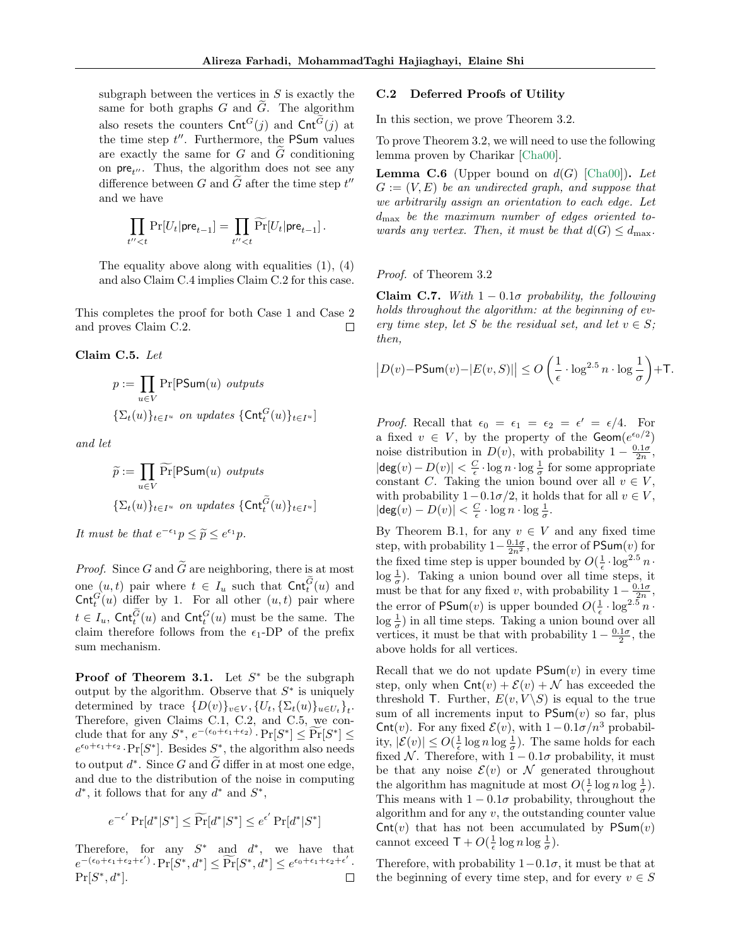subgraph between the vertices in  $S$  is exactly the same for both graphs  $G$  and  $\tilde{G}$ . The algorithm also resets the counters  $\mathsf{Cnt}^G(j)$  and  $\mathsf{Cnt}^G(j)$  at the time step  $t''$ . Furthermore, the PSum values are exactly the same for  $G$  and  $G$  conditioning on  $pre_{t''}$ . Thus, the algorithm does not see any difference between G and  $\tilde{G}$  after the time step  $t''$ and we have

$$
\prod_{t''
$$

The equality above along with equalities [\(1\)](#page-12-0), [\(4\)](#page-12-1) and also Claim [C.4](#page-13-0) implies Claim [C.2](#page-12-3) for this case.

This completes the proof for both Case 1 and Case 2 and proves Claim [C.2.](#page-12-3)  $\Box$ 

<span id="page-14-0"></span>Claim C.5. Let

$$
p := \prod_{u \in V} \Pr[\text{PSum}(u) \text{ outputs}
$$

$$
\{\Sigma_t(u)\}_{t \in I^u} \text{ on updates } \{\text{Cnt}_t^G(u)\}_{t \in I^u}]
$$

and let

$$
\widetilde{p} := \prod_{u \in V} \widetilde{\Pr}[\mathsf{PSum}(u) \text{ outputs} \\\\ \{\Sigma_t(u)\}_{t \in I^u} \text{ on updates } \{\mathsf{Cnt}_t^{\widetilde{G}}(u)\}_{t \in I^u}]
$$

It must be that  $e^{-\epsilon_1}p \leq \tilde{p} \leq e^{\epsilon_1}p$ .

*Proof.* Since G and  $\tilde{G}$  are neighboring, there is at most one  $(u, t)$  pair where  $t \in I_u$  such that  $\mathsf{Cnt}_t^G(u)$  and  $\textsf{Cnt}_t^G(u)$  differ by 1. For all other  $(u, t)$  pair where  $t \in I_u$ , Cnt $_t^G(u)$  and Cnt $_t^G(u)$  must be the same. The claim therefore follows from the  $\epsilon_1$ -DP of the prefix sum mechanism.

**Proof of Theorem 3.1.** Let  $S^*$  be the subgraph output by the algorithm. Observe that  $S^*$  is uniquely determined by trace  $\{D(v)\}_{v\in V}, \{U_t, \{\Sigma_t(u)\}_{u\in U_t}\}_t$ . Therefore, given Claims [C.1,](#page-11-0) [C.2,](#page-12-3) and [C.5,](#page-14-0) we conclude that for any  $S^*$ ,  $e^{-(\epsilon_0+\epsilon_1+\epsilon_2)}$ .  $Pr[S^*] \leq Pr[S^*] \leq$  $e^{\epsilon_0+\epsilon_1+\epsilon_2} \cdot \Pr[S^*]$ . Besides  $S^*$ , the algorithm also needs to output  $d^*$ . Since G and  $\tilde{G}$  differ in at most one edge, and due to the distribution of the noise in computing  $d^*$ , it follows that for any  $d^*$  and  $S^*$ ,

$$
e^{-\epsilon'} \Pr[d^*|S^*] \le \widetilde{\Pr}[d^*|S^*] \le e^{\epsilon'} \Pr[d^*|S^*]
$$

Therefore, for any  $S^*$  and  $d^*$ , we have that  $e^{-(\epsilon_0+\epsilon_1+\epsilon_2+\epsilon')}$   $\cdot \Pr[\check{S}^*,d^*] \leq \widetilde{\Pr}[S^*,d^*] \leq e^{\epsilon_0+\epsilon_1+\epsilon_2+\epsilon'}$  $Pr[S^*, d^*].$  $\Box$ 

#### C.2 Deferred Proofs of Utility

In this section, we prove Theorem 3.2.

To prove Theorem 3.2, we will need to use the following lemma proven by Charikar [\[Cha00\]](#page-8-3).

<span id="page-14-1"></span>**Lemma C.6** (Upper bound on  $d(G)$  [\[Cha00\]](#page-8-3)). Let  $G := (V, E)$  be an undirected graph, and suppose that we arbitrarily assign an orientation to each edge. Let  $d_{\text{max}}$  be the maximum number of edges oriented towards any vertex. Then, it must be that  $d(G) \leq d_{\text{max}}$ .

Proof. of Theorem 3.2

<span id="page-14-2"></span>Claim C.7. With  $1 - 0.1\sigma$  probability, the following holds throughout the algorithm: at the beginning of every time step, let S be the residual set, and let  $v \in S$ ; then,

$$
\left| D(v) - \mathsf{PSum}(v) - |E(v, S)| \right| \le O\left(\frac{1}{\epsilon} \cdot \log^{2.5} n \cdot \log \frac{1}{\sigma}\right) + \mathsf{T}.
$$

*Proof.* Recall that  $\epsilon_0 = \epsilon_1 = \epsilon_2 = \epsilon' = \epsilon/4$ . For a fixed  $v \in V$ , by the property of the **Geom** $(e^{\epsilon_0/2})$ noise distribution in  $D(v)$ , with probability  $1 - \frac{0.1\sigma}{2n}$ ,  $|\textsf{deg}(v) - D(v)| < \frac{C}{\epsilon} \cdot \log n \cdot \log \frac{1}{\sigma}$  for some appropriate constant C. Taking the union bound over all  $v \in V$ , with probability  $1-0.1\sigma/2$ , it holds that for all  $v \in V$ ,  $|\deg(v) - D(v)| < \frac{C}{\epsilon} \cdot \log n \cdot \log \frac{1}{\sigma}.$ 

By Theorem [B.1,](#page-11-1) for any  $v \in V$  and any fixed time step, with probability  $1-\frac{0.1\sigma}{2n^2}$ , the error of PSum $(v)$  for the fixed time step is upper bounded by  $O(\frac{1}{\epsilon} \cdot \log^{2.5} n \cdot$  $\log \frac{1}{\sigma}$ ). Taking a union bound over all time steps, it must be that for any fixed v, with probability  $1-\frac{0.1\sigma}{2n}$ , the error of PSum $(v)$  is upper bounded  $O(\frac{1}{\epsilon} \cdot \log^{2.5} n \cdot$  $\log \frac{1}{\sigma}$  in all time steps. Taking a union bound over all vertices, it must be that with probability  $1 - \frac{0.1\sigma}{2}$ , the above holds for all vertices.

Recall that we do not update  $\mathsf{PSum}(v)$  in every time step, only when  $\mathsf{Cnt}(v) + \mathcal{E}(v) + \mathcal{N}$  has exceeded the threshold T. Further,  $E(v, V \setminus S)$  is equal to the true sum of all increments input to  $\mathsf{PSum}(v)$  so far, plus Cnt(v). For any fixed  $\mathcal{E}(v)$ , with  $1-0.1\sigma/n^3$  probability,  $|\mathcal{E}(v)| \leq O(\frac{1}{\epsilon} \log n \log \frac{1}{\sigma})$ . The same holds for each fixed N. Therefore, with  $1 - 0.1\sigma$  probability, it must be that any noise  $\mathcal{E}(v)$  or N generated throughout the algorithm has magnitude at most  $O(\frac{1}{\epsilon} \log n \log \frac{1}{\sigma})$ . This means with  $1 - 0.1\sigma$  probability, throughout the algorithm and for any  $v$ , the outstanding counter value  $\mathsf{Cnt}(v)$  that has not been accumulated by  $\mathsf{PSum}(v)$ cannot exceed  $\mathsf{T} + O(\frac{1}{\epsilon} \log n \log \frac{1}{\sigma}).$ 

Therefore, with probability  $1-0.1\sigma$ , it must be that at the beginning of every time step, and for every  $v \in S$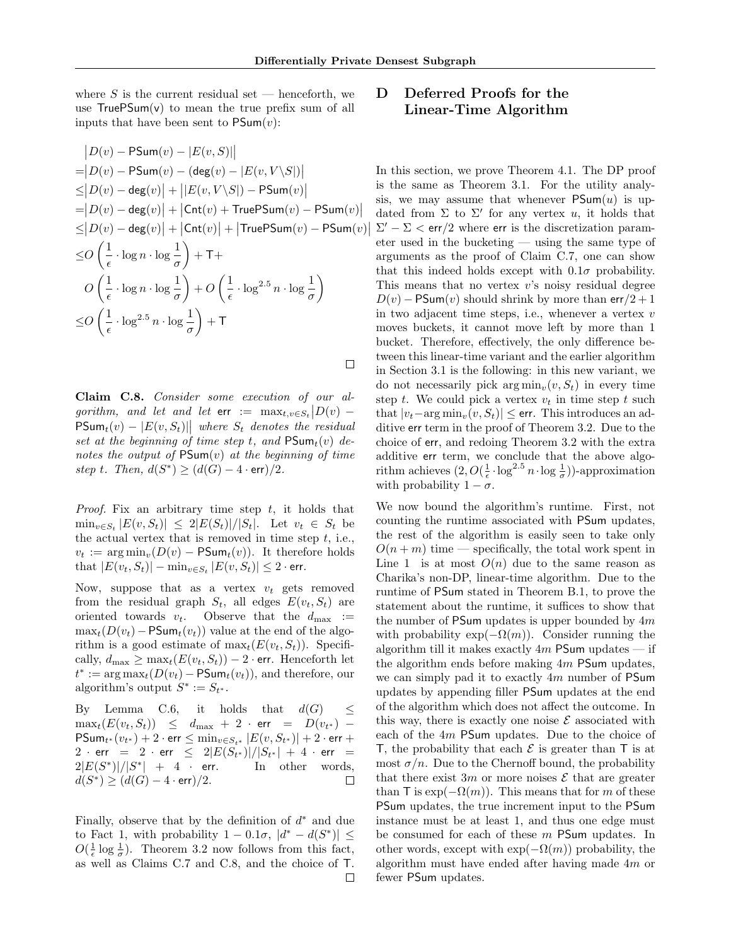$\overline{\phantom{a}}$  $\overline{\phantom{a}}$ 

 $\Box$ 

where S is the current residual set — henceforth, we use  $TruePSum(v)$  to mean the true prefix sum of all inputs that have been sent to  $\mathsf{PSum}(v)$ :

$$
|D(v) - \text{PSum}(v) - |E(v, S)||
$$
  
\n
$$
= |D(v) - \text{PSum}(v) - (\text{deg}(v) - |E(v, V \setminus S|))|
$$
  
\n
$$
\leq |D(v) - \text{deg}(v)| + ||E(v, V \setminus S|) - \text{PSum}(v)|
$$
  
\n
$$
= |D(v) - \text{deg}(v)| + |\text{Cnt}(v) + \text{TruePSum}(v) - \text{PSum}(v)|
$$
  
\n
$$
\leq |D(v) - \text{deg}(v)| + |\text{Cnt}(v)| + |\text{TruePSum}(v) - \text{PSum}(v)|
$$
  
\n
$$
\leq O\left(\frac{1}{\epsilon} \cdot \log n \cdot \log \frac{1}{\sigma}\right) + \text{T} + O\left(\frac{1}{\epsilon} \cdot \log^{2.5} n \cdot \log \frac{1}{\sigma}\right)
$$
  
\n
$$
\leq O\left(\frac{1}{\epsilon} \cdot \log^{2.5} n \cdot \log \frac{1}{\sigma}\right) + \text{T}
$$

<span id="page-15-0"></span>Claim C.8. Consider some execution of our algorithm, and let and let  $\text{err} := \max_{t,v \in S_t} |D(v) \mathsf{PSum}_t(v) - |E(v, S_t)|$  where  $S_t$  denotes the residual set at the beginning of time step t, and  $\mathsf{PSum}_t(v)$  denotes the output of  $\mathsf{PSum}(v)$  at the beginning of time step t. Then,  $d(S^*) \geq (d(G) - 4 \cdot err)/2$ .

*Proof.* Fix an arbitrary time step  $t$ , it holds that  $\min_{v \in S_t} |E(v, S_t)| \leq 2|E(S_t)|/|S_t|$ . Let  $v_t \in S_t$  be the actual vertex that is removed in time step  $t$ , i.e.,  $v_t := \arg \min_v (D(v) - \text{PSum}_t(v)).$  It therefore holds that  $|E(v_t, S_t)| - \min_{v \in S_t} |E(v, S_t)| \leq 2$  · err.

Now, suppose that as a vertex  $v_t$  gets removed from the residual graph  $S_t$ , all edges  $E(v_t, S_t)$  are<br>oriented towards  $v_t$ . Observe that the  $d_{\text{max}} :=$ Observe that the  $d_{\text{max}}$  :=  $\max_t(D(v_t)-PSum_t(v_t))$  value at the end of the algorithm is a good estimate of  $\max_t(E(v_t, S_t))$ . Specifically,  $d_{\text{max}} \geq \max_t (E(v_t, S_t)) - 2 \cdot \text{err}$ . Henceforth let  $t^* := \arg \max_t (D(v_t) - \text{PSum}_t(v_t)),$  and therefore, our algorithm's output  $S^* := S_{t^*}.$ 

By Lemma [C.6,](#page-14-1) it holds that  $d(G) \leq$  $\max_t(E(v_t, S_t)) \leq d_{\max} + 2 \cdot \text{err} = D(v_{t^*}) \mathsf{PSum}_{t^*}(v_{t^*}) + 2 \cdot \mathsf{err} \leq \min_{v \in S_{t^*}} |E(v, S_{t^*})| + 2 \cdot \mathsf{err} +$  $2 \, \cdot \, \mathsf{err} \;\; = \;\; 2 \, \cdot \, \mathsf{err} \;\; \leq \;\; 2 \lvert E(S_{t^*}) \rvert / |S_{t^*}| \, + \, 4 \, \cdot \, \mathsf{err} \;\; = \;\;$  $2|E(S^*)|/|S^*|$ In other words,  $d(S^*) \geq (d(G) - 4 \cdot \text{err})/2.$  $\Box$ 

Finally, observe that by the definition of  $d^*$  and due to Fact 1, with probability  $1 - 0.1\sigma$ ,  $|d^* - d(S^*)| \le$  $O(\frac{1}{\epsilon} \log \frac{1}{\sigma})$ . Theorem 3.2 now follows from this fact, as well as Claims [C.7](#page-14-2) and [C.8,](#page-15-0) and the choice of T.  $\Box$ 

# D Deferred Proofs for the Linear-Time Algorithm

In this section, we prove Theorem 4.1. The DP proof is the same as Theorem 3.1. For the utility analysis, we may assume that whenever  $\mathsf{PSum}(u)$  is updated from  $\Sigma$  to  $\Sigma'$  for any vertex u, it holds that  $\Sigma' - \Sigma < \text{err}/2$  where err is the discretization parameter used in the bucketing — using the same type of arguments as the proof of Claim [C.7,](#page-14-2) one can show that this indeed holds except with  $0.1\sigma$  probability. This means that no vertex v's noisy residual degree  $D(v)$  – PSum(v) should shrink by more than err/2 + 1 in two adjacent time steps, i.e., whenever a vertex  $v$ moves buckets, it cannot move left by more than 1 bucket. Therefore, effectively, the only difference between this linear-time variant and the earlier algorithm in Section 3.1 is the following: in this new variant, we do not necessarily pick  $\arg \min_v(v, S_t)$  in every time step t. We could pick a vertex  $v_t$  in time step t such that  $|v_t-\arg\min_v(v, S_t)| \le$  err. This introduces an additive err term in the proof of Theorem 3.2. Due to the choice of err, and redoing Theorem 3.2 with the extra additive err term, we conclude that the above algorithm achieves  $(2, O(\frac{1}{\epsilon} \cdot \log^{2.5} n \cdot \log \frac{1}{\sigma}))$ -approximation with probability  $1 - \sigma$ .

We now bound the algorithm's runtime. First, not counting the runtime associated with PSum updates, the rest of the algorithm is easily seen to take only  $O(n+m)$  time — specifically, the total work spent in Line 1 is at most  $O(n)$  due to the same reason as Charika's non-DP, linear-time algorithm. Due to the runtime of PSum stated in Theorem [B.1,](#page-11-1) to prove the statement about the runtime, it suffices to show that the number of PSum updates is upper bounded by  $4m$ with probability  $\exp(-\Omega(m))$ . Consider running the algorithm till it makes exactly  $4m$  PSum updates — if the algorithm ends before making  $4m$  PSum updates, we can simply pad it to exactly 4m number of PSum updates by appending filler PSum updates at the end of the algorithm which does not affect the outcome. In this way, there is exactly one noise  $\mathcal E$  associated with each of the 4m PSum updates. Due to the choice of T, the probability that each  $\mathcal E$  is greater than T is at most  $\sigma/n$ . Due to the Chernoff bound, the probability that there exist 3m or more noises  $\mathcal E$  that are greater than T is  $\exp(-\Omega(m))$ . This means that for m of these PSum updates, the true increment input to the PSum instance must be at least 1, and thus one edge must be consumed for each of these m PSum updates. In other words, except with  $\exp(-\Omega(m))$  probability, the algorithm must have ended after having made 4m or fewer PSum updates.